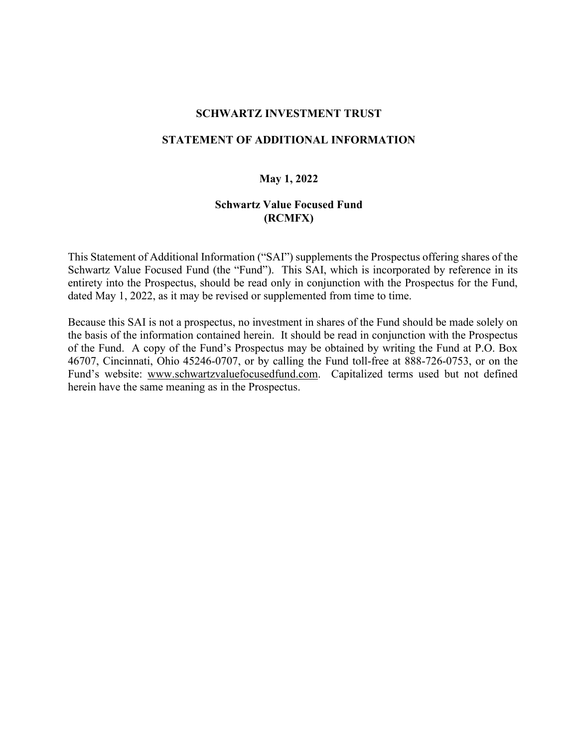#### **SCHWARTZ INVESTMENT TRUST**

#### **STATEMENT OF ADDITIONAL INFORMATION**

#### **May 1, 2022**

#### **Schwartz Value Focused Fund (RCMFX)**

This Statement of Additional Information ("SAI") supplements the Prospectus offering shares of the Schwartz Value Focused Fund (the "Fund"). This SAI, which is incorporated by reference in its entirety into the Prospectus, should be read only in conjunction with the Prospectus for the Fund, dated May 1, 2022, as it may be revised or supplemented from time to time.

Because this SAI is not a prospectus, no investment in shares of the Fund should be made solely on the basis of the information contained herein. It should be read in conjunction with the Prospectus of the Fund. A copy of the Fund's Prospectus may be obtained by writing the Fund at P.O. Box 46707, Cincinnati, Ohio 45246-0707, or by calling the Fund toll-free at 888-726-0753, or on the Fund's website: [www.schwartzvaluefocusedfund.](http://www.schwartzvaluefocusedfund/)com. Capitalized terms used but not defined herein have the same meaning as in the Prospectus.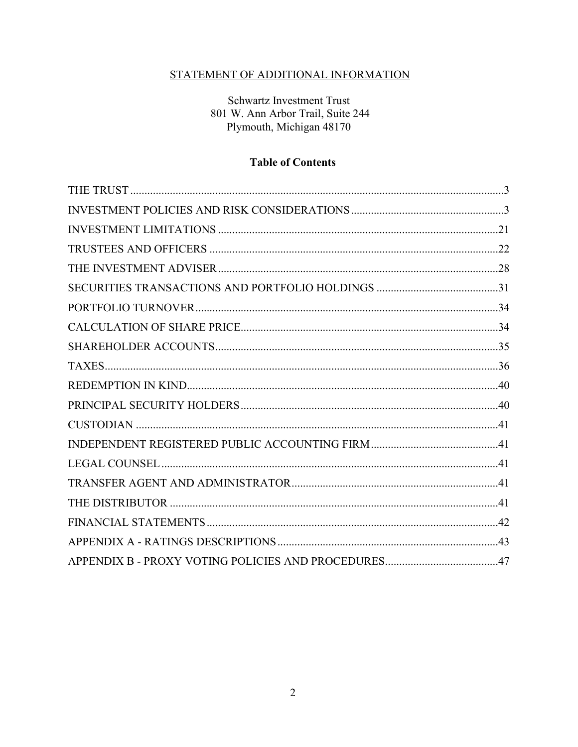# STATEMENT OF ADDITIONAL INFORMATION

**Schwartz Investment Trust** 801 W. Ann Arbor Trail, Suite 244 Plymouth, Michigan 48170

# **Table of Contents**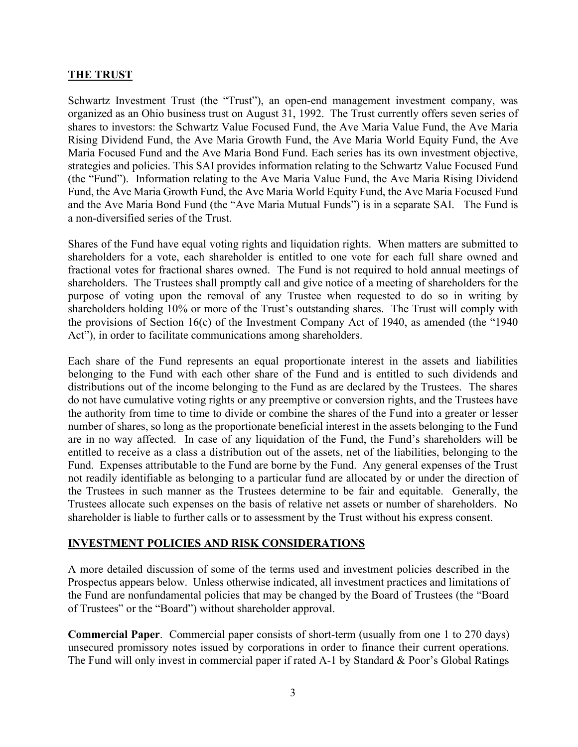### <span id="page-2-0"></span>**THE TRUST**

Schwartz Investment Trust (the "Trust"), an open-end management investment company, was organized as an Ohio business trust on August 31, 1992. The Trust currently offers seven series of shares to investors: the Schwartz Value Focused Fund, the Ave Maria Value Fund, the Ave Maria Rising Dividend Fund, the Ave Maria Growth Fund, the Ave Maria World Equity Fund, the Ave Maria Focused Fund and the Ave Maria Bond Fund. Each series has its own investment objective, strategies and policies. This SAI provides information relating to the Schwartz Value Focused Fund (the "Fund"). Information relating to the Ave Maria Value Fund, the Ave Maria Rising Dividend Fund, the Ave Maria Growth Fund, the Ave Maria World Equity Fund, the Ave Maria Focused Fund and the Ave Maria Bond Fund (the "Ave Maria Mutual Funds") is in a separate SAI. The Fund is a non-diversified series of the Trust.

Shares of the Fund have equal voting rights and liquidation rights. When matters are submitted to shareholders for a vote, each shareholder is entitled to one vote for each full share owned and fractional votes for fractional shares owned. The Fund is not required to hold annual meetings of shareholders. The Trustees shall promptly call and give notice of a meeting of shareholders for the purpose of voting upon the removal of any Trustee when requested to do so in writing by shareholders holding 10% or more of the Trust's outstanding shares. The Trust will comply with the provisions of Section 16(c) of the Investment Company Act of 1940, as amended (the "1940 Act"), in order to facilitate communications among shareholders.

Each share of the Fund represents an equal proportionate interest in the assets and liabilities belonging to the Fund with each other share of the Fund and is entitled to such dividends and distributions out of the income belonging to the Fund as are declared by the Trustees. The shares do not have cumulative voting rights or any preemptive or conversion rights, and the Trustees have the authority from time to time to divide or combine the shares of the Fund into a greater or lesser number of shares, so long as the proportionate beneficial interest in the assets belonging to the Fund are in no way affected. In case of any liquidation of the Fund, the Fund's shareholders will be entitled to receive as a class a distribution out of the assets, net of the liabilities, belonging to the Fund. Expenses attributable to the Fund are borne by the Fund. Any general expenses of the Trust not readily identifiable as belonging to a particular fund are allocated by or under the direction of the Trustees in such manner as the Trustees determine to be fair and equitable. Generally, the Trustees allocate such expenses on the basis of relative net assets or number of shareholders. No shareholder is liable to further calls or to assessment by the Trust without his express consent.

### <span id="page-2-1"></span>**INVESTMENT POLICIES AND RISK CONSIDERATIONS**

A more detailed discussion of some of the terms used and investment policies described in the Prospectus appears below. Unless otherwise indicated, all investment practices and limitations of the Fund are nonfundamental policies that may be changed by the Board of Trustees (the "Board of Trustees" or the "Board") without shareholder approval.

**Commercial Paper**. Commercial paper consists of short-term (usually from one 1 to 270 days) unsecured promissory notes issued by corporations in order to finance their current operations. The Fund will only invest in commercial paper if rated A-1 by Standard & Poor's Global Ratings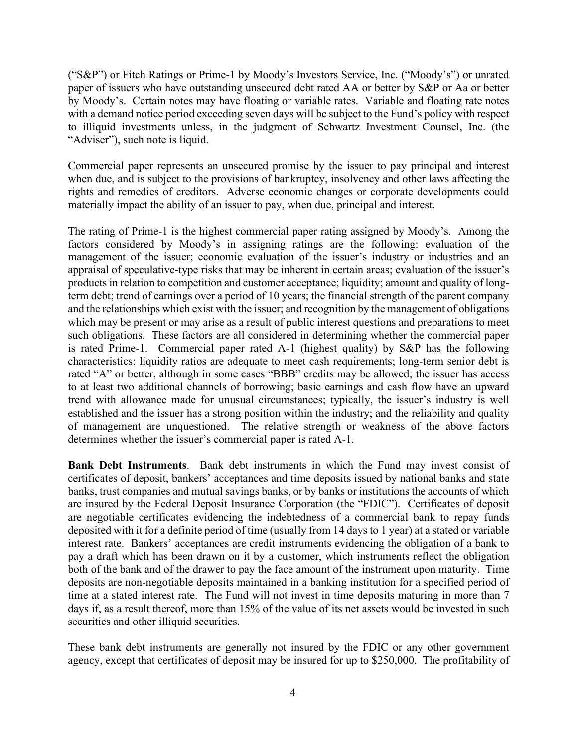("S&P") or Fitch Ratings or Prime-1 by Moody's Investors Service, Inc. ("Moody's") or unrated paper of issuers who have outstanding unsecured debt rated AA or better by S&P or Aa or better by Moody's. Certain notes may have floating or variable rates. Variable and floating rate notes with a demand notice period exceeding seven days will be subject to the Fund's policy with respect to illiquid investments unless, in the judgment of Schwartz Investment Counsel, Inc. (the "Adviser"), such note is liquid.

Commercial paper represents an unsecured promise by the issuer to pay principal and interest when due, and is subject to the provisions of bankruptcy, insolvency and other laws affecting the rights and remedies of creditors. Adverse economic changes or corporate developments could materially impact the ability of an issuer to pay, when due, principal and interest.

The rating of Prime-1 is the highest commercial paper rating assigned by Moody's. Among the factors considered by Moody's in assigning ratings are the following: evaluation of the management of the issuer; economic evaluation of the issuer's industry or industries and an appraisal of speculative-type risks that may be inherent in certain areas; evaluation of the issuer's products in relation to competition and customer acceptance; liquidity; amount and quality of longterm debt; trend of earnings over a period of 10 years; the financial strength of the parent company and the relationships which exist with the issuer; and recognition by the management of obligations which may be present or may arise as a result of public interest questions and preparations to meet such obligations. These factors are all considered in determining whether the commercial paper is rated Prime-1. Commercial paper rated A-1 (highest quality) by S&P has the following characteristics: liquidity ratios are adequate to meet cash requirements; long-term senior debt is rated "A" or better, although in some cases "BBB" credits may be allowed; the issuer has access to at least two additional channels of borrowing; basic earnings and cash flow have an upward trend with allowance made for unusual circumstances; typically, the issuer's industry is well established and the issuer has a strong position within the industry; and the reliability and quality of management are unquestioned. The relative strength or weakness of the above factors determines whether the issuer's commercial paper is rated A-1.

**Bank Debt Instruments**. Bank debt instruments in which the Fund may invest consist of certificates of deposit, bankers' acceptances and time deposits issued by national banks and state banks, trust companies and mutual savings banks, or by banks or institutions the accounts of which are insured by the Federal Deposit Insurance Corporation (the "FDIC"). Certificates of deposit are negotiable certificates evidencing the indebtedness of a commercial bank to repay funds deposited with it for a definite period of time (usually from 14 days to 1 year) at a stated or variable interest rate. Bankers' acceptances are credit instruments evidencing the obligation of a bank to pay a draft which has been drawn on it by a customer, which instruments reflect the obligation both of the bank and of the drawer to pay the face amount of the instrument upon maturity. Time deposits are non-negotiable deposits maintained in a banking institution for a specified period of time at a stated interest rate. The Fund will not invest in time deposits maturing in more than 7 days if, as a result thereof, more than 15% of the value of its net assets would be invested in such securities and other illiquid securities.

These bank debt instruments are generally not insured by the FDIC or any other government agency, except that certificates of deposit may be insured for up to \$250,000. The profitability of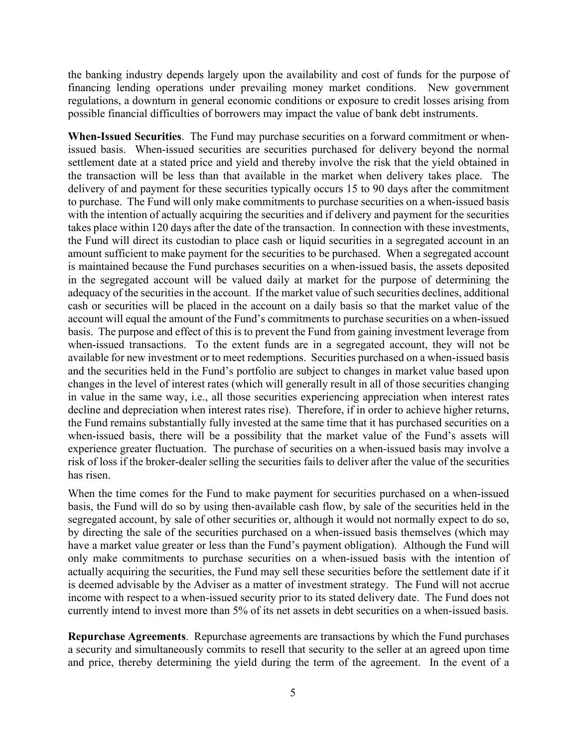the banking industry depends largely upon the availability and cost of funds for the purpose of financing lending operations under prevailing money market conditions. New government regulations, a downturn in general economic conditions or exposure to credit losses arising from possible financial difficulties of borrowers may impact the value of bank debt instruments.

**When-Issued Securities**. The Fund may purchase securities on a forward commitment or whenissued basis. When-issued securities are securities purchased for delivery beyond the normal settlement date at a stated price and yield and thereby involve the risk that the yield obtained in the transaction will be less than that available in the market when delivery takes place. The delivery of and payment for these securities typically occurs 15 to 90 days after the commitment to purchase. The Fund will only make commitments to purchase securities on a when-issued basis with the intention of actually acquiring the securities and if delivery and payment for the securities takes place within 120 days after the date of the transaction. In connection with these investments, the Fund will direct its custodian to place cash or liquid securities in a segregated account in an amount sufficient to make payment for the securities to be purchased. When a segregated account is maintained because the Fund purchases securities on a when-issued basis, the assets deposited in the segregated account will be valued daily at market for the purpose of determining the adequacy of the securities in the account. If the market value of such securities declines, additional cash or securities will be placed in the account on a daily basis so that the market value of the account will equal the amount of the Fund's commitments to purchase securities on a when-issued basis. The purpose and effect of this is to prevent the Fund from gaining investment leverage from when-issued transactions. To the extent funds are in a segregated account, they will not be available for new investment or to meet redemptions. Securities purchased on a when-issued basis and the securities held in the Fund's portfolio are subject to changes in market value based upon changes in the level of interest rates (which will generally result in all of those securities changing in value in the same way, i.e., all those securities experiencing appreciation when interest rates decline and depreciation when interest rates rise). Therefore, if in order to achieve higher returns, the Fund remains substantially fully invested at the same time that it has purchased securities on a when-issued basis, there will be a possibility that the market value of the Fund's assets will experience greater fluctuation. The purchase of securities on a when-issued basis may involve a risk of loss if the broker-dealer selling the securities fails to deliver after the value of the securities has risen.

When the time comes for the Fund to make payment for securities purchased on a when-issued basis, the Fund will do so by using then-available cash flow, by sale of the securities held in the segregated account, by sale of other securities or, although it would not normally expect to do so, by directing the sale of the securities purchased on a when-issued basis themselves (which may have a market value greater or less than the Fund's payment obligation). Although the Fund will only make commitments to purchase securities on a when-issued basis with the intention of actually acquiring the securities, the Fund may sell these securities before the settlement date if it is deemed advisable by the Adviser as a matter of investment strategy. The Fund will not accrue income with respect to a when-issued security prior to its stated delivery date. The Fund does not currently intend to invest more than 5% of its net assets in debt securities on a when-issued basis.

**Repurchase Agreements**. Repurchase agreements are transactions by which the Fund purchases a security and simultaneously commits to resell that security to the seller at an agreed upon time and price, thereby determining the yield during the term of the agreement. In the event of a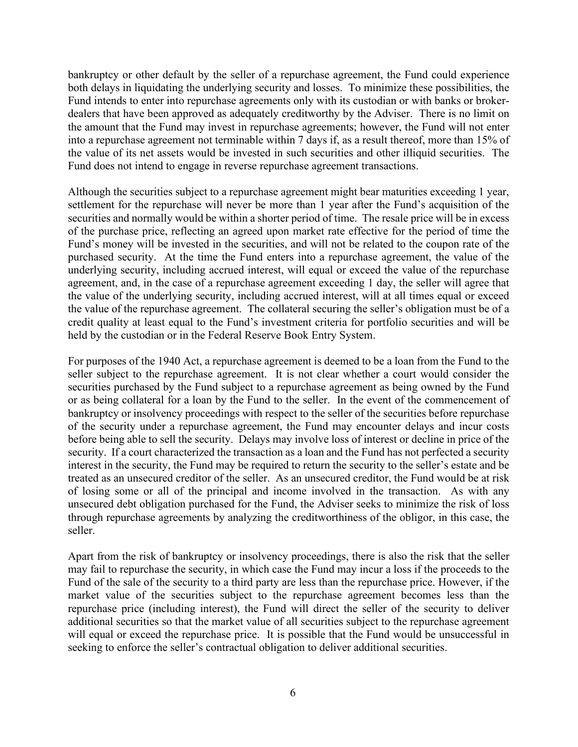bankruptcy or other default by the seller of a repurchase agreement, the Fund could experience both delays in liquidating the underlying security and losses. To minimize these possibilities, the Fund intends to enter into repurchase agreements only with its custodian or with banks or brokerdealers that have been approved as adequately creditworthy by the Adviser. There is no limit on the amount that the Fund may invest in repurchase agreements; however, the Fund will not enter into a repurchase agreement not terminable within 7 days if, as a result thereof, more than 15% of the value of its net assets would be invested in such securities and other illiquid securities. The Fund does not intend to engage in reverse repurchase agreement transactions.

Although the securities subject to a repurchase agreement might bear maturities exceeding 1 year, settlement for the repurchase will never be more than 1 year after the Fund's acquisition of the securities and normally would be within a shorter period of time. The resale price will be in excess of the purchase price, reflecting an agreed upon market rate effective for the period of time the Fund's money will be invested in the securities, and will not be related to the coupon rate of the purchased security. At the time the Fund enters into a repurchase agreement, the value of the underlying security, including accrued interest, will equal or exceed the value of the repurchase agreement, and, in the case of a repurchase agreement exceeding 1 day, the seller will agree that the value of the underlying security, including accrued interest, will at all times equal or exceed the value of the repurchase agreement. The collateral securing the seller's obligation must be of a credit quality at least equal to the Fund's investment criteria for portfolio securities and will be held by the custodian or in the Federal Reserve Book Entry System.

For purposes of the 1940 Act, a repurchase agreement is deemed to be a loan from the Fund to the seller subject to the repurchase agreement. It is not clear whether a court would consider the securities purchased by the Fund subject to a repurchase agreement as being owned by the Fund or as being collateral for a loan by the Fund to the seller. In the event of the commencement of bankruptcy or insolvency proceedings with respect to the seller of the securities before repurchase of the security under a repurchase agreement, the Fund may encounter delays and incur costs before being able to sell the security. Delays may involve loss of interest or decline in price of the security. If a court characterized the transaction as a loan and the Fund has not perfected a security interest in the security, the Fund may be required to return the security to the seller's estate and be treated as an unsecured creditor of the seller. As an unsecured creditor, the Fund would be at risk of losing some or all of the principal and income involved in the transaction. As with any unsecured debt obligation purchased for the Fund, the Adviser seeks to minimize the risk of loss through repurchase agreements by analyzing the creditworthiness of the obligor, in this case, the seller.

Apart from the risk of bankruptcy or insolvency proceedings, there is also the risk that the seller may fail to repurchase the security, in which case the Fund may incur a loss if the proceeds to the Fund of the sale of the security to a third party are less than the repurchase price. However, if the market value of the securities subject to the repurchase agreement becomes less than the repurchase price (including interest), the Fund will direct the seller of the security to deliver additional securities so that the market value of all securities subject to the repurchase agreement will equal or exceed the repurchase price. It is possible that the Fund would be unsuccessful in seeking to enforce the seller's contractual obligation to deliver additional securities.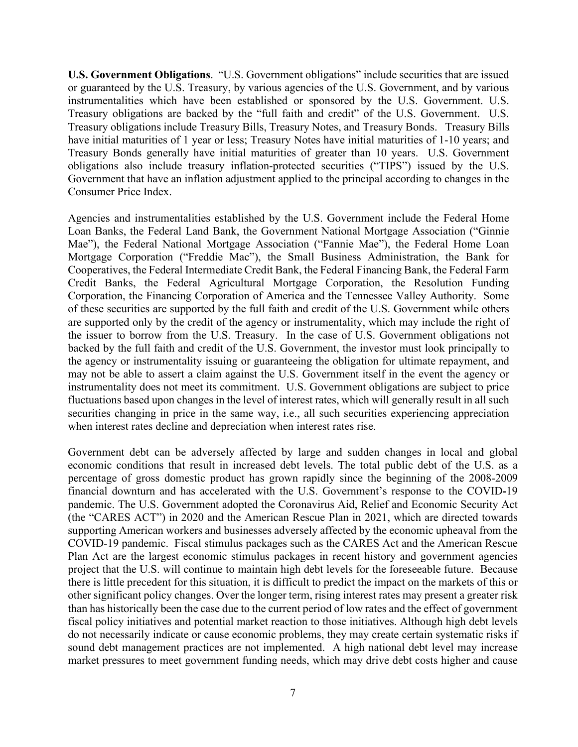**U.S. Government Obligations**. "U.S. Government obligations" include securities that are issued or guaranteed by the U.S. Treasury, by various agencies of the U.S. Government, and by various instrumentalities which have been established or sponsored by the U.S. Government. U.S. Treasury obligations are backed by the "full faith and credit" of the U.S. Government. U.S. Treasury obligations include Treasury Bills, Treasury Notes, and Treasury Bonds. Treasury Bills have initial maturities of 1 year or less; Treasury Notes have initial maturities of 1-10 years; and Treasury Bonds generally have initial maturities of greater than 10 years. U.S. Government obligations also include treasury inflation-protected securities ("TIPS") issued by the U.S. Government that have an inflation adjustment applied to the principal according to changes in the Consumer Price Index.

Agencies and instrumentalities established by the U.S. Government include the Federal Home Loan Banks, the Federal Land Bank, the Government National Mortgage Association ("Ginnie Mae"), the Federal National Mortgage Association ("Fannie Mae"), the Federal Home Loan Mortgage Corporation ("Freddie Mac"), the Small Business Administration, the Bank for Cooperatives, the Federal Intermediate Credit Bank, the Federal Financing Bank, the Federal Farm Credit Banks, the Federal Agricultural Mortgage Corporation, the Resolution Funding Corporation, the Financing Corporation of America and the Tennessee Valley Authority. Some of these securities are supported by the full faith and credit of the U.S. Government while others are supported only by the credit of the agency or instrumentality, which may include the right of the issuer to borrow from the U.S. Treasury. In the case of U.S. Government obligations not backed by the full faith and credit of the U.S. Government, the investor must look principally to the agency or instrumentality issuing or guaranteeing the obligation for ultimate repayment, and may not be able to assert a claim against the U.S. Government itself in the event the agency or instrumentality does not meet its commitment. U.S. Government obligations are subject to price fluctuations based upon changes in the level of interest rates, which will generally result in all such securities changing in price in the same way, i.e., all such securities experiencing appreciation when interest rates decline and depreciation when interest rates rise.

Government debt can be adversely affected by large and sudden changes in local and global economic conditions that result in increased debt levels. The total public debt of the U.S. as a percentage of gross domestic product has grown rapidly since the beginning of the 2008-2009 financial downturn and has accelerated with the U.S. Government's response to the COVID**-**19 pandemic. The U.S. Government adopted the Coronavirus Aid, Relief and Economic Security Act (the "CARES ACT") in 2020 and the American Rescue Plan in 2021, which are directed towards supporting American workers and businesses adversely affected by the economic upheaval from the COVID-19 pandemic. Fiscal stimulus packages such as the CARES Act and the American Rescue Plan Act are the largest economic stimulus packages in recent history and government agencies project that the U.S. will continue to maintain high debt levels for the foreseeable future. Because there is little precedent for this situation, it is difficult to predict the impact on the markets of this or other significant policy changes. Over the longer term, rising interest rates may present a greater risk than has historically been the case due to the current period of low rates and the effect of government fiscal policy initiatives and potential market reaction to those initiatives. Although high debt levels do not necessarily indicate or cause economic problems, they may create certain systematic risks if sound debt management practices are not implemented. A high national debt level may increase market pressures to meet government funding needs, which may drive debt costs higher and cause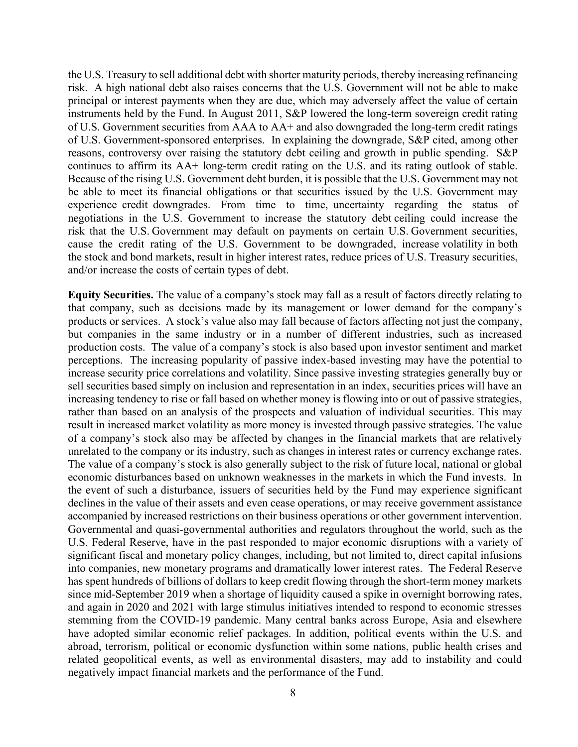the U.S. Treasury to sell additional debt with shorter maturity periods, thereby increasing refinancing risk. A high national debt also raises concerns that the U.S. Government will not be able to make principal or interest payments when they are due, which may adversely affect the value of certain instruments held by the Fund. In August 2011, S&P lowered the long-term sovereign credit rating of U.S. Government securities from AAA to AA+ and also downgraded the long-term credit ratings of U.S. Government-sponsored enterprises. In explaining the downgrade, S&P cited, among other reasons, controversy over raising the statutory debt ceiling and growth in public spending. S&P continues to affirm its AA+ long-term credit rating on the U.S. and its rating outlook of stable. Because of the rising U.S. Government debt burden, it is possible that the U.S. Government may not be able to meet its financial obligations or that securities issued by the U.S. Government may experience credit downgrades. From time to time, uncertainty regarding the status of negotiations in the U.S. Government to increase the statutory debt ceiling could increase the risk that the U.S. Government may default on payments on certain U.S. Government securities, cause the credit rating of the U.S. Government to be downgraded, increase volatility in both the stock and bond markets, result in higher interest rates, reduce prices of U.S. Treasury securities, and/or increase the costs of certain types of debt.

**Equity Securities.** The value of a company's stock may fall as a result of factors directly relating to that company, such as decisions made by its management or lower demand for the company's products or services. A stock's value also may fall because of factors affecting not just the company, but companies in the same industry or in a number of different industries, such as increased production costs. The value of a company's stock is also based upon investor sentiment and market perceptions. The increasing popularity of passive index-based investing may have the potential to increase security price correlations and volatility. Since passive investing strategies generally buy or sell securities based simply on inclusion and representation in an index, securities prices will have an increasing tendency to rise or fall based on whether money is flowing into or out of passive strategies, rather than based on an analysis of the prospects and valuation of individual securities. This may result in increased market volatility as more money is invested through passive strategies. The value of a company's stock also may be affected by changes in the financial markets that are relatively unrelated to the company or its industry, such as changes in interest rates or currency exchange rates. The value of a company's stock is also generally subject to the risk of future local, national or global economic disturbances based on unknown weaknesses in the markets in which the Fund invests. In the event of such a disturbance, issuers of securities held by the Fund may experience significant declines in the value of their assets and even cease operations, or may receive government assistance accompanied by increased restrictions on their business operations or other government intervention. Governmental and quasi-governmental authorities and regulators throughout the world, such as the U.S. Federal Reserve, have in the past responded to major economic disruptions with a variety of significant fiscal and monetary policy changes, including, but not limited to, direct capital infusions into companies, new monetary programs and dramatically lower interest rates. The Federal Reserve has spent hundreds of billions of dollars to keep credit flowing through the short-term money markets since mid-September 2019 when a shortage of liquidity caused a spike in overnight borrowing rates, and again in 2020 and 2021 with large stimulus initiatives intended to respond to economic stresses stemming from the COVID-19 pandemic. Many central banks across Europe, Asia and elsewhere have adopted similar economic relief packages. In addition, political events within the U.S. and abroad, terrorism, political or economic dysfunction within some nations, public health crises and related geopolitical events, as well as environmental disasters, may add to instability and could negatively impact financial markets and the performance of the Fund.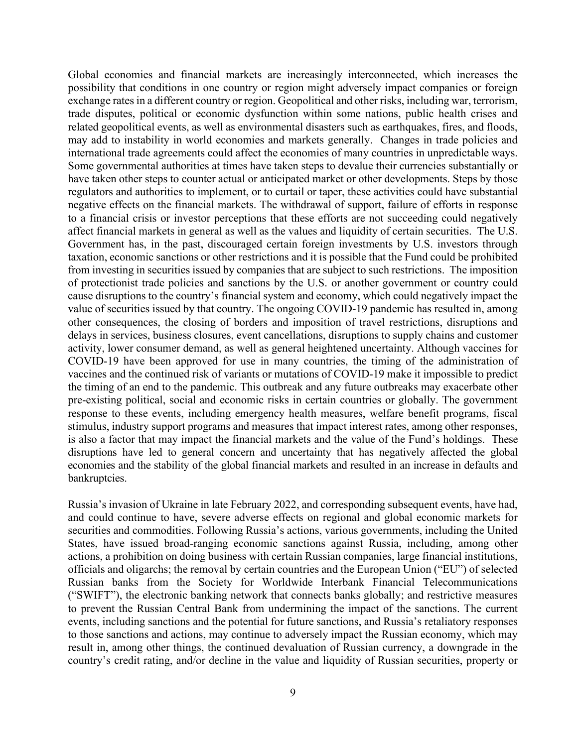Global economies and financial markets are increasingly interconnected, which increases the possibility that conditions in one country or region might adversely impact companies or foreign exchange rates in a different country or region. Geopolitical and other risks, including war, terrorism, trade disputes, political or economic dysfunction within some nations, public health crises and related geopolitical events, as well as environmental disasters such as earthquakes, fires, and floods, may add to instability in world economies and markets generally. Changes in trade policies and international trade agreements could affect the economies of many countries in unpredictable ways. Some governmental authorities at times have taken steps to devalue their currencies substantially or have taken other steps to counter actual or anticipated market or other developments. Steps by those regulators and authorities to implement, or to curtail or taper, these activities could have substantial negative effects on the financial markets. The withdrawal of support, failure of efforts in response to a financial crisis or investor perceptions that these efforts are not succeeding could negatively affect financial markets in general as well as the values and liquidity of certain securities. The U.S. Government has, in the past, discouraged certain foreign investments by U.S. investors through taxation, economic sanctions or other restrictions and it is possible that the Fund could be prohibited from investing in securities issued by companies that are subject to such restrictions. The imposition of protectionist trade policies and sanctions by the U.S. or another government or country could cause disruptions to the country's financial system and economy, which could negatively impact the value of securities issued by that country. The ongoing COVID-19 pandemic has resulted in, among other consequences, the closing of borders and imposition of travel restrictions, disruptions and delays in services, business closures, event cancellations, disruptions to supply chains and customer activity, lower consumer demand, as well as general heightened uncertainty. Although vaccines for COVID-19 have been approved for use in many countries, the timing of the administration of vaccines and the continued risk of variants or mutations of COVID-19 make it impossible to predict the timing of an end to the pandemic. This outbreak and any future outbreaks may exacerbate other pre-existing political, social and economic risks in certain countries or globally. The government response to these events, including emergency health measures, welfare benefit programs, fiscal stimulus, industry support programs and measures that impact interest rates, among other responses, is also a factor that may impact the financial markets and the value of the Fund's holdings. These disruptions have led to general concern and uncertainty that has negatively affected the global economies and the stability of the global financial markets and resulted in an increase in defaults and bankruptcies.

Russia's invasion of Ukraine in late February 2022, and corresponding subsequent events, have had, and could continue to have, severe adverse effects on regional and global economic markets for securities and commodities. Following Russia's actions, various governments, including the United States, have issued broad-ranging economic sanctions against Russia, including, among other actions, a prohibition on doing business with certain Russian companies, large financial institutions, officials and oligarchs; the removal by certain countries and the European Union ("EU") of selected Russian banks from the Society for Worldwide Interbank Financial Telecommunications ("SWIFT"), the electronic banking network that connects banks globally; and restrictive measures to prevent the Russian Central Bank from undermining the impact of the sanctions. The current events, including sanctions and the potential for future sanctions, and Russia's retaliatory responses to those sanctions and actions, may continue to adversely impact the Russian economy, which may result in, among other things, the continued devaluation of Russian currency, a downgrade in the country's credit rating, and/or decline in the value and liquidity of Russian securities, property or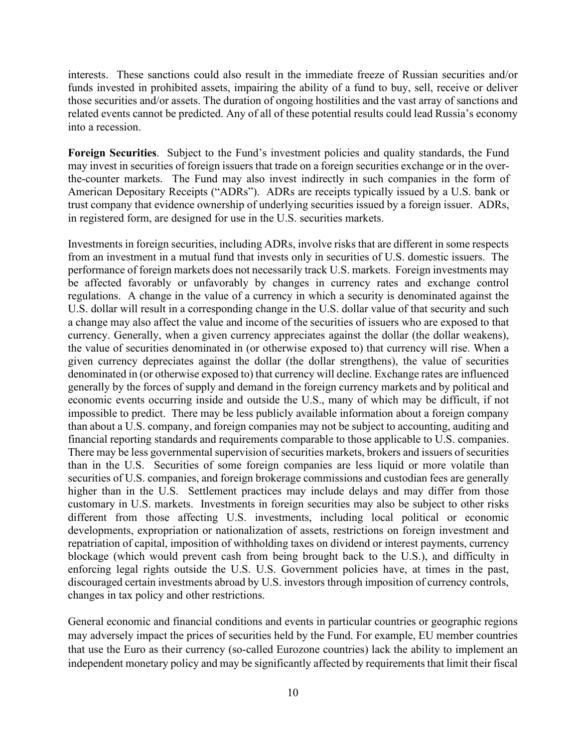interests. These sanctions could also result in the immediate freeze of Russian securities and/or funds invested in prohibited assets, impairing the ability of a fund to buy, sell, receive or deliver those securities and/or assets. The duration of ongoing hostilities and the vast array of sanctions and related events cannot be predicted. Any of all of these potential results could lead Russia's economy into a recession.

**Foreign Securities**. Subject to the Fund's investment policies and quality standards, the Fund may invest in securities of foreign issuers that trade on a foreign securities exchange or in the overthe-counter markets. The Fund may also invest indirectly in such companies in the form of American Depositary Receipts ("ADRs"). ADRs are receipts typically issued by a U.S. bank or trust company that evidence ownership of underlying securities issued by a foreign issuer. ADRs, in registered form, are designed for use in the U.S. securities markets.

Investments in foreign securities, including ADRs, involve risks that are different in some respects from an investment in a mutual fund that invests only in securities of U.S. domestic issuers. The performance of foreign markets does not necessarily track U.S. markets. Foreign investments may be affected favorably or unfavorably by changes in currency rates and exchange control regulations. A change in the value of a currency in which a security is denominated against the U.S. dollar will result in a corresponding change in the U.S. dollar value of that security and such a change may also affect the value and income of the securities of issuers who are exposed to that currency. Generally, when a given currency appreciates against the dollar (the dollar weakens), the value of securities denominated in (or otherwise exposed to) that currency will rise. When a given currency depreciates against the dollar (the dollar strengthens), the value of securities denominated in (or otherwise exposed to) that currency will decline. Exchange rates are influenced generally by the forces of supply and demand in the foreign currency markets and by political and economic events occurring inside and outside the U.S., many of which may be difficult, if not impossible to predict. There may be less publicly available information about a foreign company than about a U.S. company, and foreign companies may not be subject to accounting, auditing and financial reporting standards and requirements comparable to those applicable to U.S. companies. There may be less governmental supervision of securities markets, brokers and issuers of securities than in the U.S. Securities of some foreign companies are less liquid or more volatile than securities of U.S. companies, and foreign brokerage commissions and custodian fees are generally higher than in the U.S. Settlement practices may include delays and may differ from those customary in U.S. markets. Investments in foreign securities may also be subject to other risks different from those affecting U.S. investments, including local political or economic developments, expropriation or nationalization of assets, restrictions on foreign investment and repatriation of capital, imposition of withholding taxes on dividend or interest payments, currency blockage (which would prevent cash from being brought back to the U.S.), and difficulty in enforcing legal rights outside the U.S. U.S. Government policies have, at times in the past, discouraged certain investments abroad by U.S. investors through imposition of currency controls, changes in tax policy and other restrictions.

General economic and financial conditions and events in particular countries or geographic regions may adversely impact the prices of securities held by the Fund. For example, EU member countries that use the Euro as their currency (so-called Eurozone countries) lack the ability to implement an independent monetary policy and may be significantly affected by requirements that limit their fiscal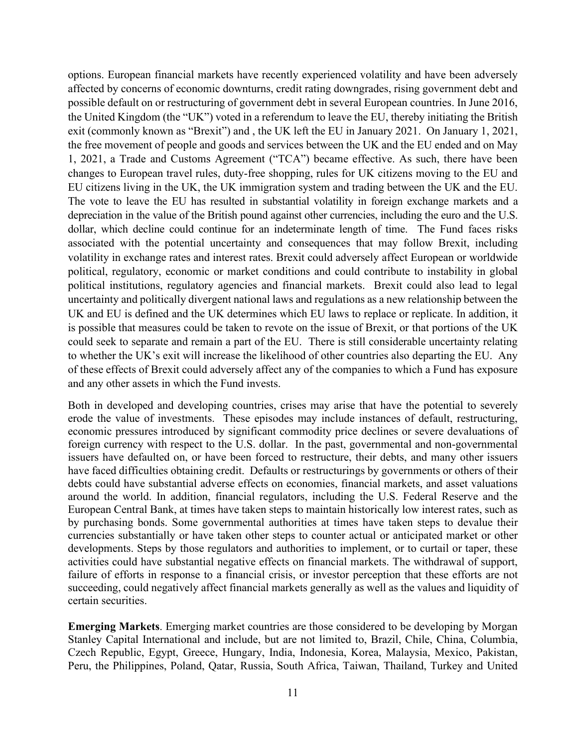options. European financial markets have recently experienced volatility and have been adversely affected by concerns of economic downturns, credit rating downgrades, rising government debt and possible default on or restructuring of government debt in several European countries. In June 2016, the United Kingdom (the "UK") voted in a referendum to leave the EU, thereby initiating the British exit (commonly known as "Brexit") and , the UK left the EU in January 2021. On January 1, 2021, the free movement of people and goods and services between the UK and the EU ended and on May 1, 2021, a Trade and Customs Agreement ("TCA") became effective. As such, there have been changes to European travel rules, duty-free shopping, rules for UK citizens moving to the EU and EU citizens living in the UK, the UK immigration system and trading between the UK and the EU. The vote to leave the EU has resulted in substantial volatility in foreign exchange markets and a depreciation in the value of the British pound against other currencies, including the euro and the U.S. dollar, which decline could continue for an indeterminate length of time. The Fund faces risks associated with the potential uncertainty and consequences that may follow Brexit, including volatility in exchange rates and interest rates. Brexit could adversely affect European or worldwide political, regulatory, economic or market conditions and could contribute to instability in global political institutions, regulatory agencies and financial markets. Brexit could also lead to legal uncertainty and politically divergent national laws and regulations as a new relationship between the UK and EU is defined and the UK determines which EU laws to replace or replicate. In addition, it is possible that measures could be taken to revote on the issue of Brexit, or that portions of the UK could seek to separate and remain a part of the EU. There is still considerable uncertainty relating to whether the UK's exit will increase the likelihood of other countries also departing the EU. Any of these effects of Brexit could adversely affect any of the companies to which a Fund has exposure and any other assets in which the Fund invests.

Both in developed and developing countries, crises may arise that have the potential to severely erode the value of investments. These episodes may include instances of default, restructuring, economic pressures introduced by significant commodity price declines or severe devaluations of foreign currency with respect to the U.S. dollar. In the past, governmental and non-governmental issuers have defaulted on, or have been forced to restructure, their debts, and many other issuers have faced difficulties obtaining credit. Defaults or restructurings by governments or others of their debts could have substantial adverse effects on economies, financial markets, and asset valuations around the world. In addition, financial regulators, including the U.S. Federal Reserve and the European Central Bank, at times have taken steps to maintain historically low interest rates, such as by purchasing bonds. Some governmental authorities at times have taken steps to devalue their currencies substantially or have taken other steps to counter actual or anticipated market or other developments. Steps by those regulators and authorities to implement, or to curtail or taper, these activities could have substantial negative effects on financial markets. The withdrawal of support, failure of efforts in response to a financial crisis, or investor perception that these efforts are not succeeding, could negatively affect financial markets generally as well as the values and liquidity of certain securities.

**Emerging Markets**. Emerging market countries are those considered to be developing by Morgan Stanley Capital International and include, but are not limited to, Brazil, Chile, China, Columbia, Czech Republic, Egypt, Greece, Hungary, India, Indonesia, Korea, Malaysia, Mexico, Pakistan, Peru, the Philippines, Poland, Qatar, Russia, South Africa, Taiwan, Thailand, Turkey and United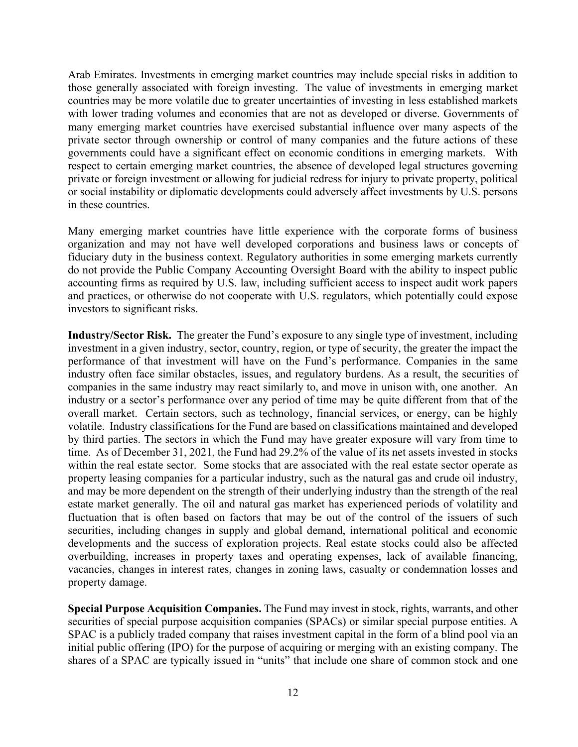Arab Emirates. Investments in emerging market countries may include special risks in addition to those generally associated with foreign investing. The value of investments in emerging market countries may be more volatile due to greater uncertainties of investing in less established markets with lower trading volumes and economies that are not as developed or diverse. Governments of many emerging market countries have exercised substantial influence over many aspects of the private sector through ownership or control of many companies and the future actions of these governments could have a significant effect on economic conditions in emerging markets. With respect to certain emerging market countries, the absence of developed legal structures governing private or foreign investment or allowing for judicial redress for injury to private property, political or social instability or diplomatic developments could adversely affect investments by U.S. persons in these countries.

Many emerging market countries have little experience with the corporate forms of business organization and may not have well developed corporations and business laws or concepts of fiduciary duty in the business context. Regulatory authorities in some emerging markets currently do not provide the Public Company Accounting Oversight Board with the ability to inspect public accounting firms as required by U.S. law, including sufficient access to inspect audit work papers and practices, or otherwise do not cooperate with U.S. regulators, which potentially could expose investors to significant risks.

**Industry/Sector Risk.** The greater the Fund's exposure to any single type of investment, including investment in a given industry, sector, country, region, or type of security, the greater the impact the performance of that investment will have on the Fund's performance. Companies in the same industry often face similar obstacles, issues, and regulatory burdens. As a result, the securities of companies in the same industry may react similarly to, and move in unison with, one another. An industry or a sector's performance over any period of time may be quite different from that of the overall market. Certain sectors, such as technology, financial services, or energy, can be highly volatile. Industry classifications for the Fund are based on classifications maintained and developed by third parties. The sectors in which the Fund may have greater exposure will vary from time to time. As of December 31, 2021, the Fund had 29.2% of the value of its net assets invested in stocks within the real estate sector. Some stocks that are associated with the real estate sector operate as property leasing companies for a particular industry, such as the natural gas and crude oil industry, and may be more dependent on the strength of their underlying industry than the strength of the real estate market generally. The oil and natural gas market has experienced periods of volatility and fluctuation that is often based on factors that may be out of the control of the issuers of such securities, including changes in supply and global demand, international political and economic developments and the success of exploration projects. Real estate stocks could also be affected overbuilding, increases in property taxes and operating expenses, lack of available financing, vacancies, changes in interest rates, changes in zoning laws, casualty or condemnation losses and property damage.

**Special Purpose Acquisition Companies.** The Fund may invest in stock, rights, warrants, and other securities of special purpose acquisition companies (SPACs) or similar special purpose entities. A SPAC is a publicly traded company that raises investment capital in the form of a blind pool via an initial public offering (IPO) for the purpose of acquiring or merging with an existing company. The shares of a SPAC are typically issued in "units" that include one share of common stock and one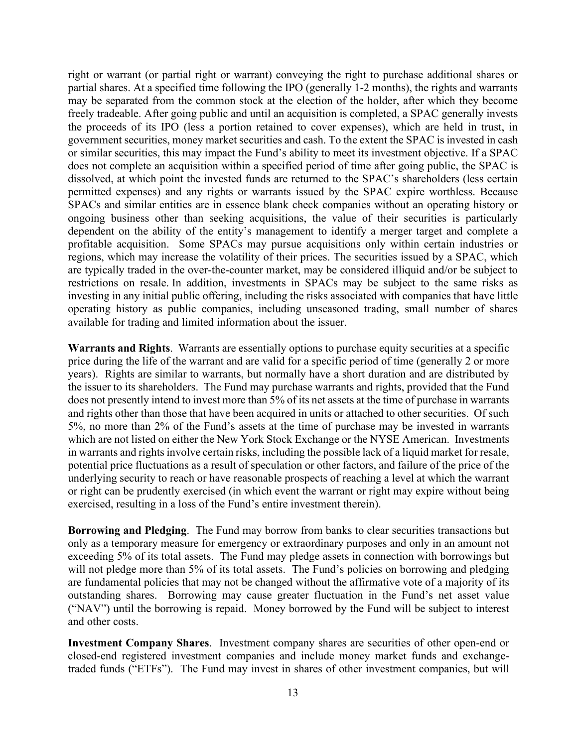right or warrant (or partial right or warrant) conveying the right to purchase additional shares or partial shares. At a specified time following the IPO (generally 1-2 months), the rights and warrants may be separated from the common stock at the election of the holder, after which they become freely tradeable. After going public and until an acquisition is completed, a SPAC generally invests the proceeds of its IPO (less a portion retained to cover expenses), which are held in trust, in government securities, money market securities and cash. To the extent the SPAC is invested in cash or similar securities, this may impact the Fund's ability to meet its investment objective. If a SPAC does not complete an acquisition within a specified period of time after going public, the SPAC is dissolved, at which point the invested funds are returned to the SPAC's shareholders (less certain permitted expenses) and any rights or warrants issued by the SPAC expire worthless. Because SPACs and similar entities are in essence blank check companies without an operating history or ongoing business other than seeking acquisitions, the value of their securities is particularly dependent on the ability of the entity's management to identify a merger target and complete a profitable acquisition. Some SPACs may pursue acquisitions only within certain industries or regions, which may increase the volatility of their prices. The securities issued by a SPAC, which are typically traded in the over-the-counter market, may be considered illiquid and/or be subject to restrictions on resale. In addition, investments in SPACs may be subject to the same risks as investing in any initial public offering, including the risks associated with companies that have little operating history as public companies, including unseasoned trading, small number of shares available for trading and limited information about the issuer.

**Warrants and Rights**. Warrants are essentially options to purchase equity securities at a specific price during the life of the warrant and are valid for a specific period of time (generally 2 or more years). Rights are similar to warrants, but normally have a short duration and are distributed by the issuer to its shareholders. The Fund may purchase warrants and rights, provided that the Fund does not presently intend to invest more than 5% of its net assets at the time of purchase in warrants and rights other than those that have been acquired in units or attached to other securities. Of such 5%, no more than 2% of the Fund's assets at the time of purchase may be invested in warrants which are not listed on either the New York Stock Exchange or the NYSE American. Investments in warrants and rights involve certain risks, including the possible lack of a liquid market for resale, potential price fluctuations as a result of speculation or other factors, and failure of the price of the underlying security to reach or have reasonable prospects of reaching a level at which the warrant or right can be prudently exercised (in which event the warrant or right may expire without being exercised, resulting in a loss of the Fund's entire investment therein).

**Borrowing and Pledging**. The Fund may borrow from banks to clear securities transactions but only as a temporary measure for emergency or extraordinary purposes and only in an amount not exceeding 5% of its total assets. The Fund may pledge assets in connection with borrowings but will not pledge more than 5% of its total assets. The Fund's policies on borrowing and pledging are fundamental policies that may not be changed without the affirmative vote of a majority of its outstanding shares. Borrowing may cause greater fluctuation in the Fund's net asset value ("NAV") until the borrowing is repaid. Money borrowed by the Fund will be subject to interest and other costs.

**Investment Company Shares**. Investment company shares are securities of other open-end or closed-end registered investment companies and include money market funds and exchangetraded funds ("ETFs"). The Fund may invest in shares of other investment companies, but will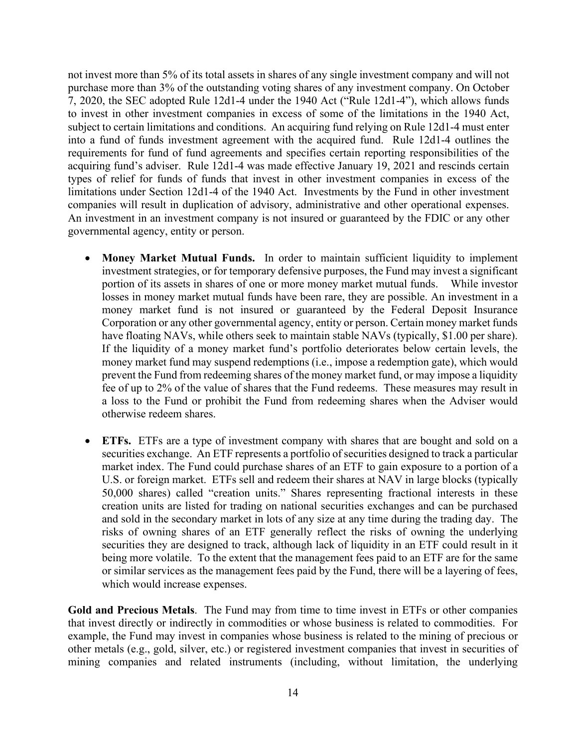not invest more than 5% of its total assets in shares of any single investment company and will not purchase more than 3% of the outstanding voting shares of any investment company. On October 7, 2020, the SEC adopted Rule 12d1-4 under the 1940 Act ("Rule 12d1-4"), which allows funds to invest in other investment companies in excess of some of the limitations in the 1940 Act, subject to certain limitations and conditions. An acquiring fund relying on Rule 12d1-4 must enter into a fund of funds investment agreement with the acquired fund. Rule 12d1-4 outlines the requirements for fund of fund agreements and specifies certain reporting responsibilities of the acquiring fund's adviser. Rule 12d1-4 was made effective January 19, 2021 and rescinds certain types of relief for funds of funds that invest in other investment companies in excess of the limitations under Section 12d1-4 of the 1940 Act. Investments by the Fund in other investment companies will result in duplication of advisory, administrative and other operational expenses. An investment in an investment company is not insured or guaranteed by the FDIC or any other governmental agency, entity or person.

- **Money Market Mutual Funds.** In order to maintain sufficient liquidity to implement investment strategies, or for temporary defensive purposes, the Fund may invest a significant portion of its assets in shares of one or more money market mutual funds. While investor losses in money market mutual funds have been rare, they are possible. An investment in a money market fund is not insured or guaranteed by the Federal Deposit Insurance Corporation or any other governmental agency, entity or person. Certain money market funds have floating NAVs, while others seek to maintain stable NAVs (typically, \$1.00 per share). If the liquidity of a money market fund's portfolio deteriorates below certain levels, the money market fund may suspend redemptions (i.e., impose a redemption gate), which would prevent the Fund from redeeming shares of the money market fund, or may impose a liquidity fee of up to 2% of the value of shares that the Fund redeems. These measures may result in a loss to the Fund or prohibit the Fund from redeeming shares when the Adviser would otherwise redeem shares.
- **ETFs.** ETFs are a type of investment company with shares that are bought and sold on a securities exchange. An ETF represents a portfolio of securities designed to track a particular market index. The Fund could purchase shares of an ETF to gain exposure to a portion of a U.S. or foreign market. ETFs sell and redeem their shares at NAV in large blocks (typically 50,000 shares) called "creation units." Shares representing fractional interests in these creation units are listed for trading on national securities exchanges and can be purchased and sold in the secondary market in lots of any size at any time during the trading day. The risks of owning shares of an ETF generally reflect the risks of owning the underlying securities they are designed to track, although lack of liquidity in an ETF could result in it being more volatile. To the extent that the management fees paid to an ETF are for the same or similar services as the management fees paid by the Fund, there will be a layering of fees, which would increase expenses.

**Gold and Precious Metals**. The Fund may from time to time invest in ETFs or other companies that invest directly or indirectly in commodities or whose business is related to commodities. For example, the Fund may invest in companies whose business is related to the mining of precious or other metals (e.g., gold, silver, etc.) or registered investment companies that invest in securities of mining companies and related instruments (including, without limitation, the underlying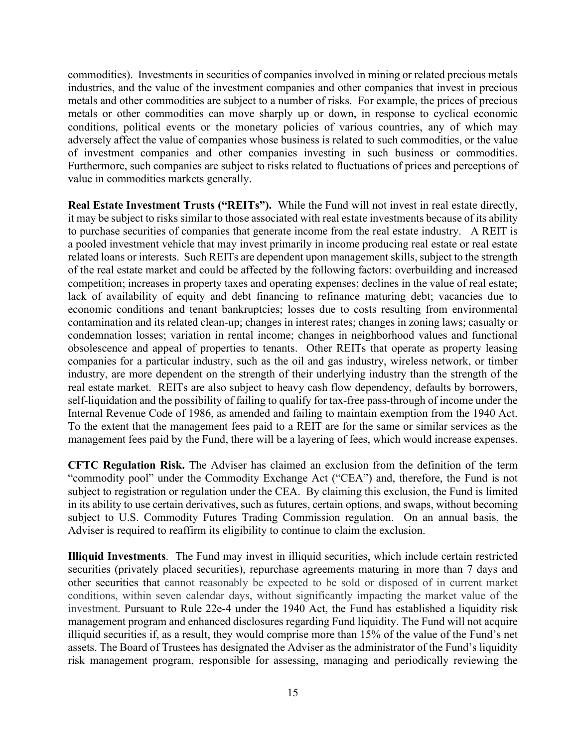commodities). Investments in securities of companies involved in mining or related precious metals industries, and the value of the investment companies and other companies that invest in precious metals and other commodities are subject to a number of risks. For example, the prices of precious metals or other commodities can move sharply up or down, in response to cyclical economic conditions, political events or the monetary policies of various countries, any of which may adversely affect the value of companies whose business is related to such commodities, or the value of investment companies and other companies investing in such business or commodities. Furthermore, such companies are subject to risks related to fluctuations of prices and perceptions of value in commodities markets generally.

**Real Estate Investment Trusts ("REITs").** While the Fund will not invest in real estate directly, it may be subject to risks similar to those associated with real estate investments because of its ability to purchase securities of companies that generate income from the real estate industry. A REIT is a pooled investment vehicle that may invest primarily in income producing real estate or real estate related loans or interests. Such REITs are dependent upon management skills, subject to the strength of the real estate market and could be affected by the following factors: overbuilding and increased competition; increases in property taxes and operating expenses; declines in the value of real estate; lack of availability of equity and debt financing to refinance maturing debt; vacancies due to economic conditions and tenant bankruptcies; losses due to costs resulting from environmental contamination and its related clean-up; changes in interest rates; changes in zoning laws; casualty or condemnation losses; variation in rental income; changes in neighborhood values and functional obsolescence and appeal of properties to tenants. Other REITs that operate as property leasing companies for a particular industry, such as the oil and gas industry, wireless network, or timber industry, are more dependent on the strength of their underlying industry than the strength of the real estate market. REITs are also subject to heavy cash flow dependency, defaults by borrowers, self-liquidation and the possibility of failing to qualify for tax-free pass-through of income under the Internal Revenue Code of 1986, as amended and failing to maintain exemption from the 1940 Act. To the extent that the management fees paid to a REIT are for the same or similar services as the management fees paid by the Fund, there will be a layering of fees, which would increase expenses.

**CFTC Regulation Risk.** The Adviser has claimed an exclusion from the definition of the term "commodity pool" under the Commodity Exchange Act ("CEA") and, therefore, the Fund is not subject to registration or regulation under the CEA. By claiming this exclusion, the Fund is limited in its ability to use certain derivatives, such as futures, certain options, and swaps, without becoming subject to U.S. Commodity Futures Trading Commission regulation. On an annual basis, the Adviser is required to reaffirm its eligibility to continue to claim the exclusion.

**Illiquid Investments**. The Fund may invest in illiquid securities, which include certain restricted securities (privately placed securities), repurchase agreements maturing in more than 7 days and other securities that cannot reasonably be expected to be sold or disposed of in current market conditions, within seven calendar days, without significantly impacting the market value of the investment. Pursuant to Rule 22e-4 under the 1940 Act, the Fund has established a liquidity risk management program and enhanced disclosures regarding Fund liquidity. The Fund will not acquire illiquid securities if, as a result, they would comprise more than 15% of the value of the Fund's net assets. The Board of Trustees has designated the Adviser as the administrator of the Fund's liquidity risk management program, responsible for assessing, managing and periodically reviewing the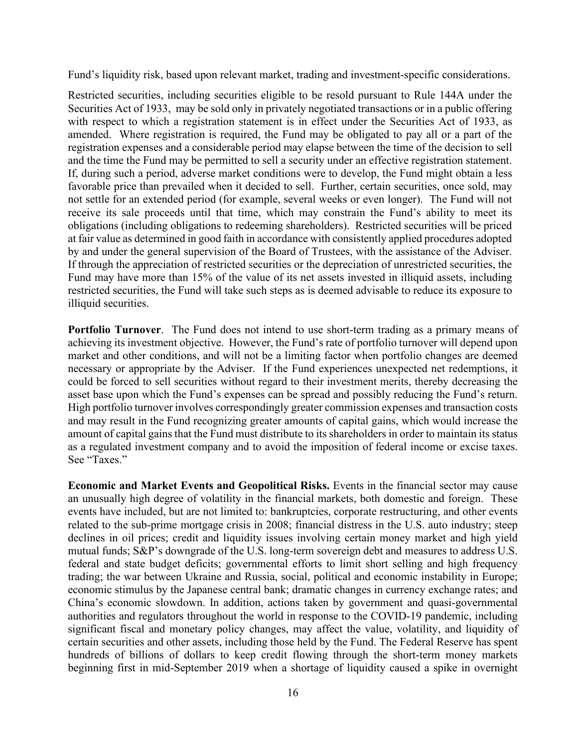Fund's liquidity risk, based upon relevant market, trading and investment-specific considerations.

Restricted securities, including securities eligible to be resold pursuant to Rule 144A under the Securities Act of 1933, may be sold only in privately negotiated transactions or in a public offering with respect to which a registration statement is in effect under the Securities Act of 1933, as amended. Where registration is required, the Fund may be obligated to pay all or a part of the registration expenses and a considerable period may elapse between the time of the decision to sell and the time the Fund may be permitted to sell a security under an effective registration statement. If, during such a period, adverse market conditions were to develop, the Fund might obtain a less favorable price than prevailed when it decided to sell. Further, certain securities, once sold, may not settle for an extended period (for example, several weeks or even longer). The Fund will not receive its sale proceeds until that time, which may constrain the Fund's ability to meet its obligations (including obligations to redeeming shareholders). Restricted securities will be priced at fair value as determined in good faith in accordance with consistently applied procedures adopted by and under the general supervision of the Board of Trustees, with the assistance of the Adviser. If through the appreciation of restricted securities or the depreciation of unrestricted securities, the Fund may have more than 15% of the value of its net assets invested in illiquid assets, including restricted securities, the Fund will take such steps as is deemed advisable to reduce its exposure to illiquid securities.

**Portfolio Turnover**. The Fund does not intend to use short-term trading as a primary means of achieving its investment objective. However, the Fund's rate of portfolio turnover will depend upon market and other conditions, and will not be a limiting factor when portfolio changes are deemed necessary or appropriate by the Adviser. If the Fund experiences unexpected net redemptions, it could be forced to sell securities without regard to their investment merits, thereby decreasing the asset base upon which the Fund's expenses can be spread and possibly reducing the Fund's return. High portfolio turnover involves correspondingly greater commission expenses and transaction costs and may result in the Fund recognizing greater amounts of capital gains, which would increase the amount of capital gains that the Fund must distribute to its shareholders in order to maintain its status as a regulated investment company and to avoid the imposition of federal income or excise taxes. See "Taxes."

**Economic and Market Events and Geopolitical Risks.** Events in the financial sector may cause an unusually high degree of volatility in the financial markets, both domestic and foreign. These events have included, but are not limited to: bankruptcies, corporate restructuring, and other events related to the sub-prime mortgage crisis in 2008; financial distress in the U.S. auto industry; steep declines in oil prices; credit and liquidity issues involving certain money market and high yield mutual funds; S&P's downgrade of the U.S. long-term sovereign debt and measures to address U.S. federal and state budget deficits; governmental efforts to limit short selling and high frequency trading; the war between Ukraine and Russia, social, political and economic instability in Europe; economic stimulus by the Japanese central bank; dramatic changes in currency exchange rates; and China's economic slowdown. In addition, actions taken by government and quasi-governmental authorities and regulators throughout the world in response to the COVID-19 pandemic, including significant fiscal and monetary policy changes, may affect the value, volatility, and liquidity of certain securities and other assets, including those held by the Fund. The Federal Reserve has spent hundreds of billions of dollars to keep credit flowing through the short-term money markets beginning first in mid-September 2019 when a shortage of liquidity caused a spike in overnight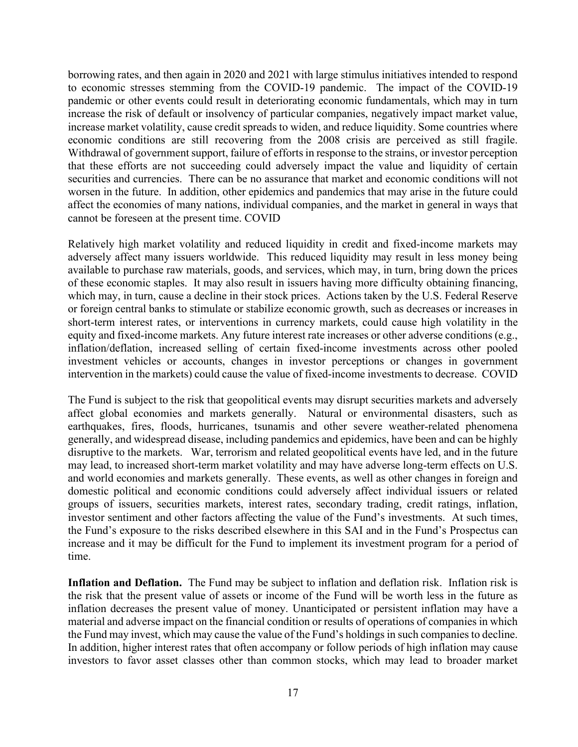borrowing rates, and then again in 2020 and 2021 with large stimulus initiatives intended to respond to economic stresses stemming from the COVID-19 pandemic. The impact of the COVID-19 pandemic or other events could result in deteriorating economic fundamentals, which may in turn increase the risk of default or insolvency of particular companies, negatively impact market value, increase market volatility, cause credit spreads to widen, and reduce liquidity. Some countries where economic conditions are still recovering from the 2008 crisis are perceived as still fragile. Withdrawal of government support, failure of efforts in response to the strains, or investor perception that these efforts are not succeeding could adversely impact the value and liquidity of certain securities and currencies. There can be no assurance that market and economic conditions will not worsen in the future. In addition, other epidemics and pandemics that may arise in the future could affect the economies of many nations, individual companies, and the market in general in ways that cannot be foreseen at the present time. COVID

Relatively high market volatility and reduced liquidity in credit and fixed-income markets may adversely affect many issuers worldwide. This reduced liquidity may result in less money being available to purchase raw materials, goods, and services, which may, in turn, bring down the prices of these economic staples. It may also result in issuers having more difficulty obtaining financing, which may, in turn, cause a decline in their stock prices. Actions taken by the U.S. Federal Reserve or foreign central banks to stimulate or stabilize economic growth, such as decreases or increases in short-term interest rates, or interventions in currency markets, could cause high volatility in the equity and fixed-income markets. Any future interest rate increases or other adverse conditions (e.g., inflation/deflation, increased selling of certain fixed-income investments across other pooled investment vehicles or accounts, changes in investor perceptions or changes in government intervention in the markets) could cause the value of fixed-income investments to decrease. COVID

The Fund is subject to the risk that geopolitical events may disrupt securities markets and adversely affect global economies and markets generally. Natural or environmental disasters, such as earthquakes, fires, floods, hurricanes, tsunamis and other severe weather-related phenomena generally, and widespread disease, including pandemics and epidemics, have been and can be highly disruptive to the markets. War, terrorism and related geopolitical events have led, and in the future may lead, to increased short-term market volatility and may have adverse long-term effects on U.S. and world economies and markets generally. These events, as well as other changes in foreign and domestic political and economic conditions could adversely affect individual issuers or related groups of issuers, securities markets, interest rates, secondary trading, credit ratings, inflation, investor sentiment and other factors affecting the value of the Fund's investments. At such times, the Fund's exposure to the risks described elsewhere in this SAI and in the Fund's Prospectus can increase and it may be difficult for the Fund to implement its investment program for a period of time.

**Inflation and Deflation.** The Fund may be subject to inflation and deflation risk. Inflation risk is the risk that the present value of assets or income of the Fund will be worth less in the future as inflation decreases the present value of money. Unanticipated or persistent inflation may have a material and adverse impact on the financial condition or results of operations of companies in which the Fund may invest, which may cause the value of the Fund's holdings in such companies to decline. In addition, higher interest rates that often accompany or follow periods of high inflation may cause investors to favor asset classes other than common stocks, which may lead to broader market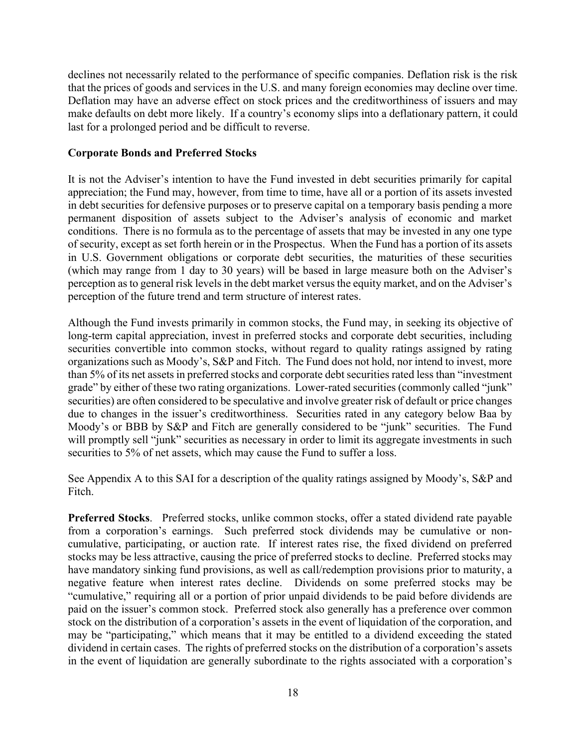declines not necessarily related to the performance of specific companies. Deflation risk is the risk that the prices of goods and services in the U.S. and many foreign economies may decline over time. Deflation may have an adverse effect on stock prices and the creditworthiness of issuers and may make defaults on debt more likely. If a country's economy slips into a deflationary pattern, it could last for a prolonged period and be difficult to reverse.

#### **Corporate Bonds and Preferred Stocks**

It is not the Adviser's intention to have the Fund invested in debt securities primarily for capital appreciation; the Fund may, however, from time to time, have all or a portion of its assets invested in debt securities for defensive purposes or to preserve capital on a temporary basis pending a more permanent disposition of assets subject to the Adviser's analysis of economic and market conditions. There is no formula as to the percentage of assets that may be invested in any one type of security, except as set forth herein or in the Prospectus. When the Fund has a portion of its assets in U.S. Government obligations or corporate debt securities, the maturities of these securities (which may range from 1 day to 30 years) will be based in large measure both on the Adviser's perception as to general risk levels in the debt market versus the equity market, and on the Adviser's perception of the future trend and term structure of interest rates.

Although the Fund invests primarily in common stocks, the Fund may, in seeking its objective of long-term capital appreciation, invest in preferred stocks and corporate debt securities, including securities convertible into common stocks, without regard to quality ratings assigned by rating organizations such as Moody's, S&P and Fitch. The Fund does not hold, nor intend to invest, more than 5% of its net assets in preferred stocks and corporate debt securities rated less than "investment grade" by either of these two rating organizations. Lower-rated securities (commonly called "junk" securities) are often considered to be speculative and involve greater risk of default or price changes due to changes in the issuer's creditworthiness. Securities rated in any category below Baa by Moody's or BBB by S&P and Fitch are generally considered to be "junk" securities. The Fund will promptly sell "junk" securities as necessary in order to limit its aggregate investments in such securities to 5% of net assets, which may cause the Fund to suffer a loss.

See Appendix A to this SAI for a description of the quality ratings assigned by Moody's, S&P and Fitch.

**Preferred Stocks**. Preferred stocks, unlike common stocks, offer a stated dividend rate payable from a corporation's earnings. Such preferred stock dividends may be cumulative or noncumulative, participating, or auction rate. If interest rates rise, the fixed dividend on preferred stocks may be less attractive, causing the price of preferred stocks to decline. Preferred stocks may have mandatory sinking fund provisions, as well as call/redemption provisions prior to maturity, a negative feature when interest rates decline. Dividends on some preferred stocks may be "cumulative," requiring all or a portion of prior unpaid dividends to be paid before dividends are paid on the issuer's common stock. Preferred stock also generally has a preference over common stock on the distribution of a corporation's assets in the event of liquidation of the corporation, and may be "participating," which means that it may be entitled to a dividend exceeding the stated dividend in certain cases. The rights of preferred stocks on the distribution of a corporation's assets in the event of liquidation are generally subordinate to the rights associated with a corporation's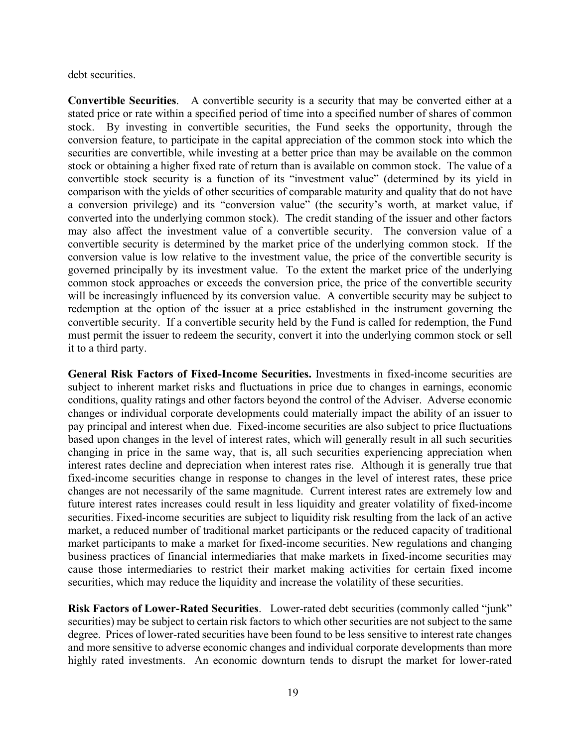debt securities.

**Convertible Securities**. A convertible security is a security that may be converted either at a stated price or rate within a specified period of time into a specified number of shares of common stock. By investing in convertible securities, the Fund seeks the opportunity, through the conversion feature, to participate in the capital appreciation of the common stock into which the securities are convertible, while investing at a better price than may be available on the common stock or obtaining a higher fixed rate of return than is available on common stock. The value of a convertible stock security is a function of its "investment value" (determined by its yield in comparison with the yields of other securities of comparable maturity and quality that do not have a conversion privilege) and its "conversion value" (the security's worth, at market value, if converted into the underlying common stock). The credit standing of the issuer and other factors may also affect the investment value of a convertible security. The conversion value of a convertible security is determined by the market price of the underlying common stock. If the conversion value is low relative to the investment value, the price of the convertible security is governed principally by its investment value. To the extent the market price of the underlying common stock approaches or exceeds the conversion price, the price of the convertible security will be increasingly influenced by its conversion value. A convertible security may be subject to redemption at the option of the issuer at a price established in the instrument governing the convertible security. If a convertible security held by the Fund is called for redemption, the Fund must permit the issuer to redeem the security, convert it into the underlying common stock or sell it to a third party.

**General Risk Factors of Fixed-Income Securities.** Investments in fixed-income securities are subject to inherent market risks and fluctuations in price due to changes in earnings, economic conditions, quality ratings and other factors beyond the control of the Adviser. Adverse economic changes or individual corporate developments could materially impact the ability of an issuer to pay principal and interest when due. Fixed-income securities are also subject to price fluctuations based upon changes in the level of interest rates, which will generally result in all such securities changing in price in the same way, that is, all such securities experiencing appreciation when interest rates decline and depreciation when interest rates rise. Although it is generally true that fixed-income securities change in response to changes in the level of interest rates, these price changes are not necessarily of the same magnitude. Current interest rates are extremely low and future interest rates increases could result in less liquidity and greater volatility of fixed-income securities. Fixed-income securities are subject to liquidity risk resulting from the lack of an active market, a reduced number of traditional market participants or the reduced capacity of traditional market participants to make a market for fixed-income securities. New regulations and changing business practices of financial intermediaries that make markets in fixed-income securities may cause those intermediaries to restrict their market making activities for certain fixed income securities, which may reduce the liquidity and increase the volatility of these securities.

**Risk Factors of Lower-Rated Securities**. Lower-rated debt securities (commonly called "junk" securities) may be subject to certain risk factors to which other securities are not subject to the same degree. Prices of lower-rated securities have been found to be less sensitive to interest rate changes and more sensitive to adverse economic changes and individual corporate developments than more highly rated investments. An economic downturn tends to disrupt the market for lower-rated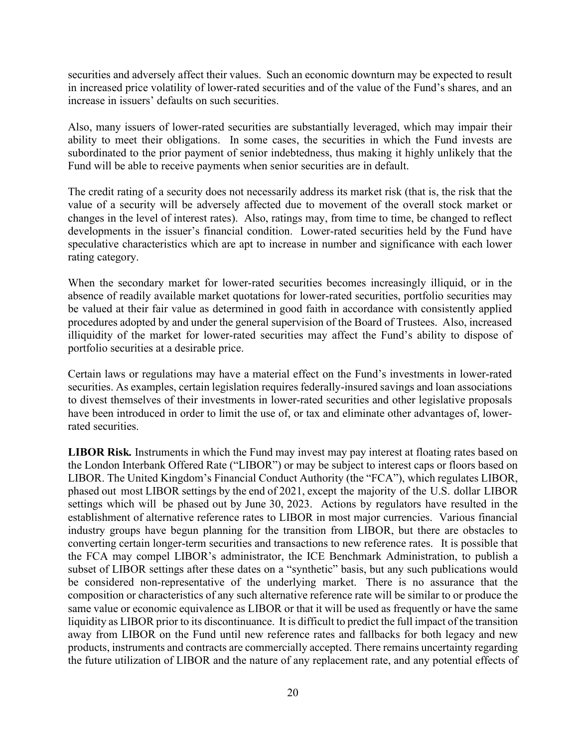securities and adversely affect their values. Such an economic downturn may be expected to result in increased price volatility of lower-rated securities and of the value of the Fund's shares, and an increase in issuers' defaults on such securities.

Also, many issuers of lower-rated securities are substantially leveraged, which may impair their ability to meet their obligations. In some cases, the securities in which the Fund invests are subordinated to the prior payment of senior indebtedness, thus making it highly unlikely that the Fund will be able to receive payments when senior securities are in default.

The credit rating of a security does not necessarily address its market risk (that is, the risk that the value of a security will be adversely affected due to movement of the overall stock market or changes in the level of interest rates). Also, ratings may, from time to time, be changed to reflect developments in the issuer's financial condition. Lower-rated securities held by the Fund have speculative characteristics which are apt to increase in number and significance with each lower rating category.

When the secondary market for lower-rated securities becomes increasingly illiquid, or in the absence of readily available market quotations for lower-rated securities, portfolio securities may be valued at their fair value as determined in good faith in accordance with consistently applied procedures adopted by and under the general supervision of the Board of Trustees. Also, increased illiquidity of the market for lower-rated securities may affect the Fund's ability to dispose of portfolio securities at a desirable price.

Certain laws or regulations may have a material effect on the Fund's investments in lower-rated securities. As examples, certain legislation requires federally-insured savings and loan associations to divest themselves of their investments in lower-rated securities and other legislative proposals have been introduced in order to limit the use of, or tax and eliminate other advantages of, lowerrated securities.

**LIBOR Risk***.* Instruments in which the Fund may invest may pay interest at floating rates based on the London Interbank Offered Rate ("LIBOR") or may be subject to interest caps or floors based on LIBOR. The United Kingdom's Financial Conduct Authority (the "FCA"), which regulates LIBOR, phased out most LIBOR settings by the end of 2021, except the majority of the U.S. dollar LIBOR settings which will be phased out by June 30, 2023. Actions by regulators have resulted in the establishment of alternative reference rates to LIBOR in most major currencies. Various financial industry groups have begun planning for the transition from LIBOR, but there are obstacles to converting certain longer-term securities and transactions to new reference rates. It is possible that the FCA may compel LIBOR's administrator, the ICE Benchmark Administration, to publish a subset of LIBOR settings after these dates on a "synthetic" basis, but any such publications would be considered non-representative of the underlying market. There is no assurance that the composition or characteristics of any such alternative reference rate will be similar to or produce the same value or economic equivalence as LIBOR or that it will be used as frequently or have the same liquidity as LIBOR prior to its discontinuance. It is difficult to predict the full impact of the transition away from LIBOR on the Fund until new reference rates and fallbacks for both legacy and new products, instruments and contracts are commercially accepted. There remains uncertainty regarding the future utilization of LIBOR and the nature of any replacement rate, and any potential effects of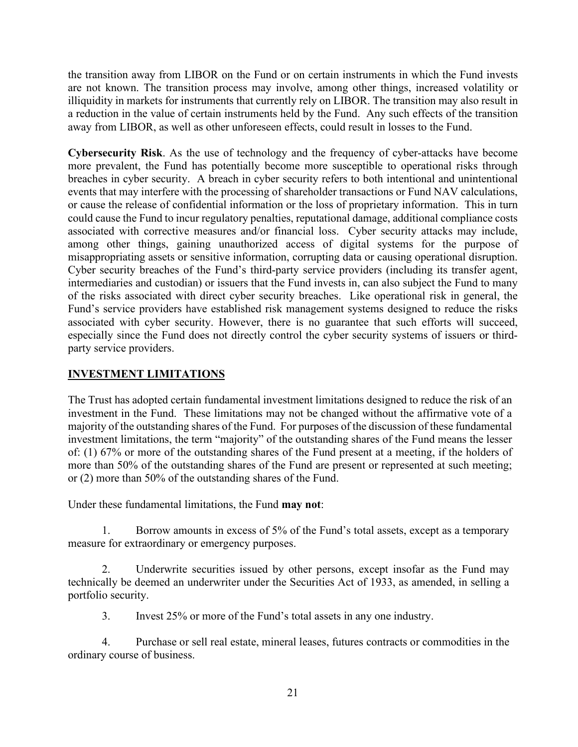the transition away from LIBOR on the Fund or on certain instruments in which the Fund invests are not known. The transition process may involve, among other things, increased volatility or illiquidity in markets for instruments that currently rely on LIBOR. The transition may also result in a reduction in the value of certain instruments held by the Fund. Any such effects of the transition away from LIBOR, as well as other unforeseen effects, could result in losses to the Fund.

**Cybersecurity Risk**. As the use of technology and the frequency of cyber-attacks have become more prevalent, the Fund has potentially become more susceptible to operational risks through breaches in cyber security. A breach in cyber security refers to both intentional and unintentional events that may interfere with the processing of shareholder transactions or Fund NAV calculations, or cause the release of confidential information or the loss of proprietary information. This in turn could cause the Fund to incur regulatory penalties, reputational damage, additional compliance costs associated with corrective measures and/or financial loss. Cyber security attacks may include, among other things, gaining unauthorized access of digital systems for the purpose of misappropriating assets or sensitive information, corrupting data or causing operational disruption. Cyber security breaches of the Fund's third-party service providers (including its transfer agent, intermediaries and custodian) or issuers that the Fund invests in, can also subject the Fund to many of the risks associated with direct cyber security breaches. Like operational risk in general, the Fund's service providers have established risk management systems designed to reduce the risks associated with cyber security. However, there is no guarantee that such efforts will succeed, especially since the Fund does not directly control the cyber security systems of issuers or thirdparty service providers.

## <span id="page-20-0"></span>**INVESTMENT LIMITATIONS**

The Trust has adopted certain fundamental investment limitations designed to reduce the risk of an investment in the Fund. These limitations may not be changed without the affirmative vote of a majority of the outstanding shares of the Fund. For purposes of the discussion of these fundamental investment limitations, the term "majority" of the outstanding shares of the Fund means the lesser of: (1) 67% or more of the outstanding shares of the Fund present at a meeting, if the holders of more than 50% of the outstanding shares of the Fund are present or represented at such meeting; or (2) more than 50% of the outstanding shares of the Fund.

Under these fundamental limitations, the Fund **may not**:

 1. Borrow amounts in excess of 5% of the Fund's total assets, except as a temporary measure for extraordinary or emergency purposes.

 2. Underwrite securities issued by other persons, except insofar as the Fund may technically be deemed an underwriter under the Securities Act of 1933, as amended, in selling a portfolio security.

3. Invest 25% or more of the Fund's total assets in any one industry.

 4. Purchase or sell real estate, mineral leases, futures contracts or commodities in the ordinary course of business.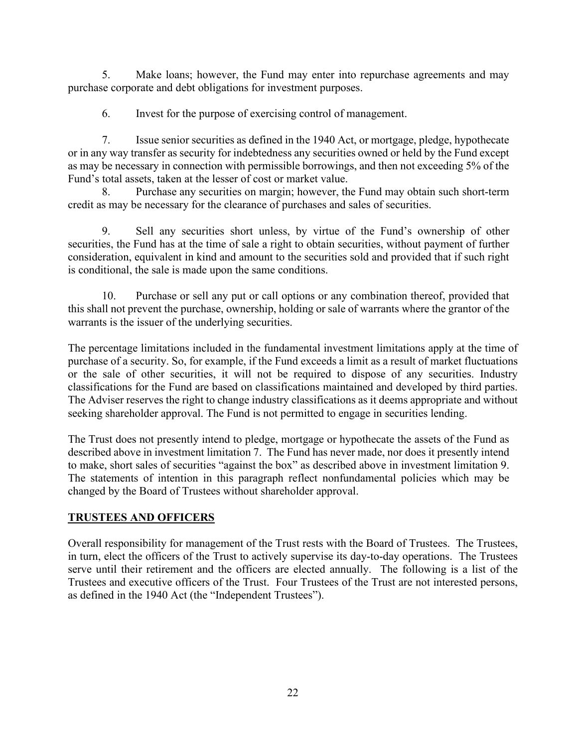5. Make loans; however, the Fund may enter into repurchase agreements and may purchase corporate and debt obligations for investment purposes.

6. Invest for the purpose of exercising control of management.

 7. Issue senior securities as defined in the 1940 Act, or mortgage, pledge, hypothecate or in any way transfer as security for indebtedness any securities owned or held by the Fund except as may be necessary in connection with permissible borrowings, and then not exceeding 5% of the Fund's total assets, taken at the lesser of cost or market value.

 8. Purchase any securities on margin; however, the Fund may obtain such short-term credit as may be necessary for the clearance of purchases and sales of securities.

 9. Sell any securities short unless, by virtue of the Fund's ownership of other securities, the Fund has at the time of sale a right to obtain securities, without payment of further consideration, equivalent in kind and amount to the securities sold and provided that if such right is conditional, the sale is made upon the same conditions.

 10. Purchase or sell any put or call options or any combination thereof, provided that this shall not prevent the purchase, ownership, holding or sale of warrants where the grantor of the warrants is the issuer of the underlying securities.

The percentage limitations included in the fundamental investment limitations apply at the time of purchase of a security. So, for example, if the Fund exceeds a limit as a result of market fluctuations or the sale of other securities, it will not be required to dispose of any securities. Industry classifications for the Fund are based on classifications maintained and developed by third parties. The Adviser reserves the right to change industry classifications as it deems appropriate and without seeking shareholder approval. The Fund is not permitted to engage in securities lending.

The Trust does not presently intend to pledge, mortgage or hypothecate the assets of the Fund as described above in investment limitation 7. The Fund has never made, nor does it presently intend to make, short sales of securities "against the box" as described above in investment limitation 9. The statements of intention in this paragraph reflect nonfundamental policies which may be changed by the Board of Trustees without shareholder approval.

# <span id="page-21-0"></span>**TRUSTEES AND OFFICERS**

Overall responsibility for management of the Trust rests with the Board of Trustees. The Trustees, in turn, elect the officers of the Trust to actively supervise its day-to-day operations. The Trustees serve until their retirement and the officers are elected annually. The following is a list of the Trustees and executive officers of the Trust. Four Trustees of the Trust are not interested persons, as defined in the 1940 Act (the "Independent Trustees").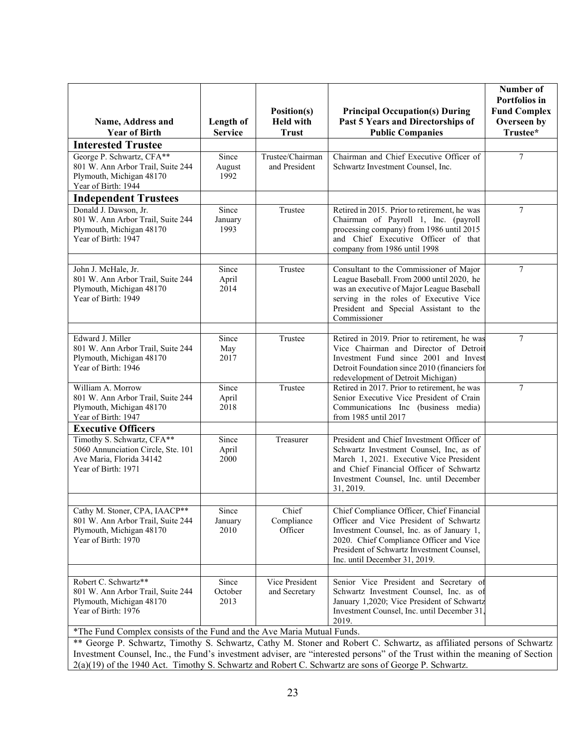| Name, Address and<br><b>Year of Birth</b>                                                                             | Length of<br><b>Service</b> | Position(s)<br><b>Held with</b><br><b>Trust</b> | <b>Principal Occupation(s) During</b><br>Past 5 Years and Directorships of<br><b>Public Companies</b>                                                                                                                                                     | Number of<br>Portfolios in<br><b>Fund Complex</b><br>Overseen by<br>Trustee* |
|-----------------------------------------------------------------------------------------------------------------------|-----------------------------|-------------------------------------------------|-----------------------------------------------------------------------------------------------------------------------------------------------------------------------------------------------------------------------------------------------------------|------------------------------------------------------------------------------|
| <b>Interested Trustee</b>                                                                                             |                             |                                                 |                                                                                                                                                                                                                                                           |                                                                              |
| George P. Schwartz, CFA**<br>801 W. Ann Arbor Trail, Suite 244<br>Plymouth, Michigan 48170<br>Year of Birth: 1944     | Since<br>August<br>1992     | Trustee/Chairman<br>and President               | Chairman and Chief Executive Officer of<br>Schwartz Investment Counsel, Inc.                                                                                                                                                                              | $\tau$                                                                       |
| <b>Independent Trustees</b>                                                                                           |                             |                                                 |                                                                                                                                                                                                                                                           |                                                                              |
| Donald J. Dawson, Jr.<br>801 W. Ann Arbor Trail, Suite 244<br>Plymouth, Michigan 48170<br>Year of Birth: 1947         | Since<br>January<br>1993    | Trustee                                         | Retired in 2015. Prior to retirement, he was<br>Chairman of Payroll 1, Inc. (payroll<br>processing company) from 1986 until 2015<br>and Chief Executive Officer of that<br>company from 1986 until 1998                                                   | $\overline{7}$                                                               |
| John J. McHale, Jr.<br>801 W. Ann Arbor Trail, Suite 244<br>Plymouth, Michigan 48170<br>Year of Birth: 1949           | Since<br>April<br>2014      | Trustee                                         | Consultant to the Commissioner of Major<br>League Baseball. From 2000 until 2020, he<br>was an executive of Major League Baseball<br>serving in the roles of Executive Vice<br>President and Special Assistant to the<br>Commissioner                     | $\tau$                                                                       |
| Edward J. Miller<br>801 W. Ann Arbor Trail, Suite 244<br>Plymouth, Michigan 48170<br>Year of Birth: 1946              | Since<br>May<br>2017        | Trustee                                         | Retired in 2019. Prior to retirement, he was<br>Vice Chairman and Director of Detroit<br>Investment Fund since 2001 and Invest<br>Detroit Foundation since 2010 (financiers for<br>redevelopment of Detroit Michigan)                                     | $\tau$                                                                       |
| William A. Morrow<br>801 W. Ann Arbor Trail, Suite 244<br>Plymouth, Michigan 48170<br>Year of Birth: 1947             | Since<br>April<br>2018      | Trustee                                         | Retired in 2017. Prior to retirement, he was<br>Senior Executive Vice President of Crain<br>Communications Inc (business media)<br>from 1985 until 2017                                                                                                   | $\overline{7}$                                                               |
| <b>Executive Officers</b>                                                                                             |                             |                                                 |                                                                                                                                                                                                                                                           |                                                                              |
| Timothy S. Schwartz, CFA**<br>5060 Annunciation Circle, Ste. 101<br>Ave Maria, Florida 34142<br>Year of Birth: 1971   | Since<br>April<br>2000      | Treasurer                                       | President and Chief Investment Officer of<br>Schwartz Investment Counsel, Inc, as of<br>March 1, 2021. Executive Vice President<br>and Chief Financial Officer of Schwartz<br>Investment Counsel, Inc. until December<br>31, 2019.                        |                                                                              |
|                                                                                                                       |                             |                                                 |                                                                                                                                                                                                                                                           |                                                                              |
| Cathy M. Stoner, CPA, IAACP**<br>801 W. Ann Arbor Trail, Suite 244<br>Plymouth, Michigan 48170<br>Year of Birth: 1970 | Since<br>January<br>2010    | Chief<br>Compliance<br>Officer                  | Chief Compliance Officer, Chief Financial<br>Officer and Vice President of Schwartz<br>Investment Counsel, Inc. as of January 1,<br>2020. Chief Compliance Officer and Vice<br>President of Schwartz Investment Counsel,<br>Inc. until December 31, 2019. |                                                                              |
|                                                                                                                       |                             |                                                 |                                                                                                                                                                                                                                                           |                                                                              |
| Robert C. Schwartz**<br>801 W. Ann Arbor Trail, Suite 244<br>Plymouth, Michigan 48170<br>Year of Birth: 1976          | Since<br>October<br>2013    | Vice President<br>and Secretary                 | Senior Vice President and Secretary of<br>Schwartz Investment Counsel, Inc. as of<br>January 1,2020; Vice President of Schwartz<br>Investment Counsel, Inc. until December 31,<br>2019.                                                                   |                                                                              |
| *The Fund Complex consists of the Fund and the Ave Maria Mutual Funds.                                                |                             |                                                 |                                                                                                                                                                                                                                                           |                                                                              |

\*\* George P. Schwartz, Timothy S. Schwartz, Cathy M. Stoner and Robert C. Schwartz, as affiliated persons of Schwartz Investment Counsel, Inc., the Fund's investment adviser, are "interested persons" of the Trust within the meaning of Section 2(a)(19) of the 1940 Act. Timothy S. Schwartz and Robert C. Schwartz are sons of George P. Schwartz.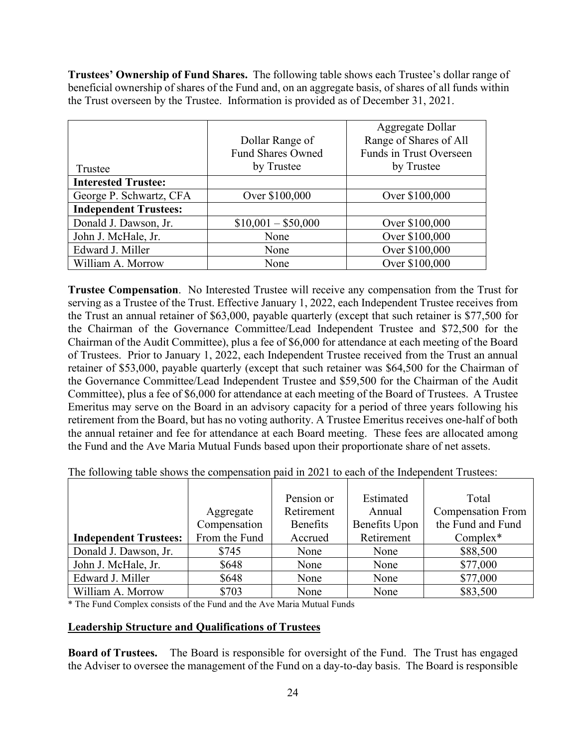**Trustees' Ownership of Fund Shares.** The following table shows each Trustee's dollar range of beneficial ownership of shares of the Fund and, on an aggregate basis, of shares of all funds within the Trust overseen by the Trustee. Information is provided as of December 31, 2021.

|                              | Dollar Range of<br><b>Fund Shares Owned</b> | Aggregate Dollar<br>Range of Shares of All<br><b>Funds in Trust Overseen</b> |
|------------------------------|---------------------------------------------|------------------------------------------------------------------------------|
| Trustee                      | by Trustee                                  | by Trustee                                                                   |
| <b>Interested Trustee:</b>   |                                             |                                                                              |
| George P. Schwartz, CFA      | Over \$100,000                              | Over \$100,000                                                               |
| <b>Independent Trustees:</b> |                                             |                                                                              |
| Donald J. Dawson, Jr.        | $$10,001 - $50,000$                         | Over \$100,000                                                               |
| John J. McHale, Jr.          | None                                        | Over \$100,000                                                               |
| Edward J. Miller             | None                                        | Over \$100,000                                                               |
| William A. Morrow            | None                                        | Over \$100,000                                                               |

**Trustee Compensation**. No Interested Trustee will receive any compensation from the Trust for serving as a Trustee of the Trust. Effective January 1, 2022, each Independent Trustee receives from the Trust an annual retainer of \$63,000, payable quarterly (except that such retainer is \$77,500 for the Chairman of the Governance Committee/Lead Independent Trustee and \$72,500 for the Chairman of the Audit Committee), plus a fee of \$6,000 for attendance at each meeting of the Board of Trustees. Prior to January 1, 2022, each Independent Trustee received from the Trust an annual retainer of \$53,000, payable quarterly (except that such retainer was \$64,500 for the Chairman of the Governance Committee/Lead Independent Trustee and \$59,500 for the Chairman of the Audit Committee), plus a fee of \$6,000 for attendance at each meeting of the Board of Trustees. A Trustee Emeritus may serve on the Board in an advisory capacity for a period of three years following his retirement from the Board, but has no voting authority. A Trustee Emeritus receives one-half of both the annual retainer and fee for attendance at each Board meeting. These fees are allocated among the Fund and the Ave Maria Mutual Funds based upon their proportionate share of net assets.

The following table shows the compensation paid in 2021 to each of the Independent Trustees:

|                              |               | Pension or | Estimated            | Total                    |
|------------------------------|---------------|------------|----------------------|--------------------------|
|                              | Aggregate     | Retirement | Annual               | <b>Compensation From</b> |
|                              | Compensation  | Benefits   | <b>Benefits Upon</b> | the Fund and Fund        |
| <b>Independent Trustees:</b> | From the Fund | Accrued    | Retirement           | $Complex^*$              |
| Donald J. Dawson, Jr.        | \$745         | None       | None                 | \$88,500                 |
| John J. McHale, Jr.          | \$648         | None       | None                 | \$77,000                 |
| Edward J. Miller             | \$648         | None       | None                 | \$77,000                 |
| William A. Morrow            | \$703         | None       | None                 | \$83,500                 |

\* The Fund Complex consists of the Fund and the Ave Maria Mutual Funds

## **Leadership Structure and Qualifications of Trustees**

**Board of Trustees.** The Board is responsible for oversight of the Fund. The Trust has engaged the Adviser to oversee the management of the Fund on a day-to-day basis. The Board is responsible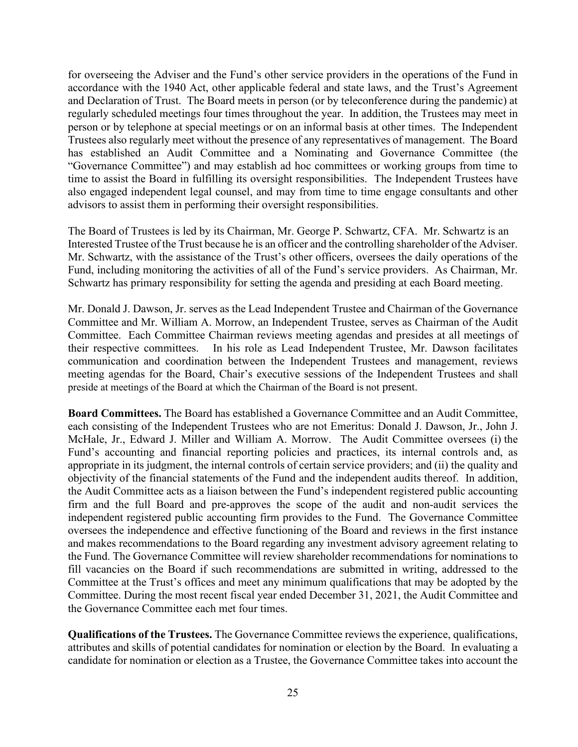for overseeing the Adviser and the Fund's other service providers in the operations of the Fund in accordance with the 1940 Act, other applicable federal and state laws, and the Trust's Agreement and Declaration of Trust. The Board meets in person (or by teleconference during the pandemic) at regularly scheduled meetings four times throughout the year. In addition, the Trustees may meet in person or by telephone at special meetings or on an informal basis at other times. The Independent Trustees also regularly meet without the presence of any representatives of management. The Board has established an Audit Committee and a Nominating and Governance Committee (the "Governance Committee") and may establish ad hoc committees or working groups from time to time to assist the Board in fulfilling its oversight responsibilities. The Independent Trustees have also engaged independent legal counsel, and may from time to time engage consultants and other advisors to assist them in performing their oversight responsibilities.

The Board of Trustees is led by its Chairman, Mr. George P. Schwartz, CFA. Mr. Schwartz is an Interested Trustee of the Trust because he is an officer and the controlling shareholder of the Adviser. Mr. Schwartz, with the assistance of the Trust's other officers, oversees the daily operations of the Fund, including monitoring the activities of all of the Fund's service providers. As Chairman, Mr. Schwartz has primary responsibility for setting the agenda and presiding at each Board meeting.

Mr. Donald J. Dawson, Jr. serves as the Lead Independent Trustee and Chairman of the Governance Committee and Mr. William A. Morrow, an Independent Trustee, serves as Chairman of the Audit Committee. Each Committee Chairman reviews meeting agendas and presides at all meetings of their respective committees. In his role as Lead Independent Trustee, Mr. Dawson facilitates communication and coordination between the Independent Trustees and management, reviews meeting agendas for the Board, Chair's executive sessions of the Independent Trustees and shall preside at meetings of the Board at which the Chairman of the Board is not present.

**Board Committees.** The Board has established a Governance Committee and an Audit Committee, each consisting of the Independent Trustees who are not Emeritus: Donald J. Dawson, Jr., John J. McHale, Jr., Edward J. Miller and William A. Morrow. The Audit Committee oversees (i) the Fund's accounting and financial reporting policies and practices, its internal controls and, as appropriate in its judgment, the internal controls of certain service providers; and (ii) the quality and objectivity of the financial statements of the Fund and the independent audits thereof. In addition, the Audit Committee acts as a liaison between the Fund's independent registered public accounting firm and the full Board and pre-approves the scope of the audit and non-audit services the independent registered public accounting firm provides to the Fund. The Governance Committee oversees the independence and effective functioning of the Board and reviews in the first instance and makes recommendations to the Board regarding any investment advisory agreement relating to the Fund. The Governance Committee will review shareholder recommendations for nominations to fill vacancies on the Board if such recommendations are submitted in writing, addressed to the Committee at the Trust's offices and meet any minimum qualifications that may be adopted by the Committee. During the most recent fiscal year ended December 31, 2021, the Audit Committee and the Governance Committee each met four times.

**Qualifications of the Trustees.** The Governance Committee reviews the experience, qualifications, attributes and skills of potential candidates for nomination or election by the Board. In evaluating a candidate for nomination or election as a Trustee, the Governance Committee takes into account the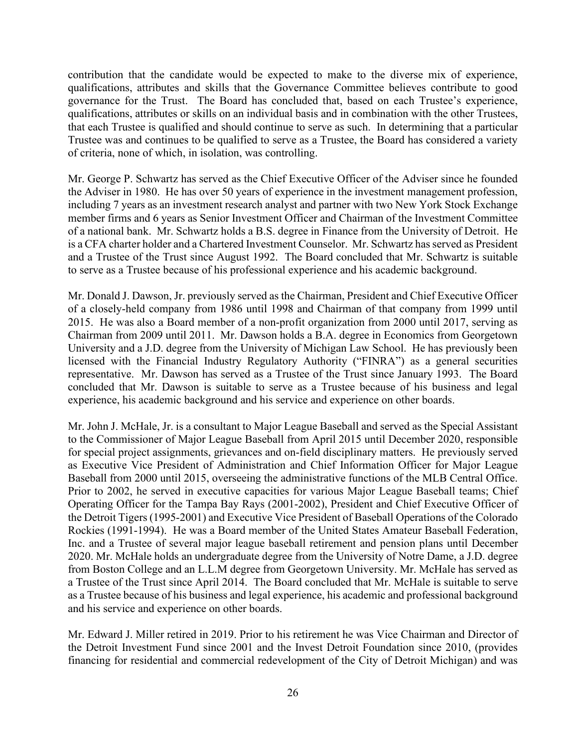contribution that the candidate would be expected to make to the diverse mix of experience, qualifications, attributes and skills that the Governance Committee believes contribute to good governance for the Trust. The Board has concluded that, based on each Trustee's experience, qualifications, attributes or skills on an individual basis and in combination with the other Trustees, that each Trustee is qualified and should continue to serve as such. In determining that a particular Trustee was and continues to be qualified to serve as a Trustee, the Board has considered a variety of criteria, none of which, in isolation, was controlling.

Mr. George P. Schwartz has served as the Chief Executive Officer of the Adviser since he founded the Adviser in 1980. He has over 50 years of experience in the investment management profession, including 7 years as an investment research analyst and partner with two New York Stock Exchange member firms and 6 years as Senior Investment Officer and Chairman of the Investment Committee of a national bank. Mr. Schwartz holds a B.S. degree in Finance from the University of Detroit. He is a CFA charter holder and a Chartered Investment Counselor. Mr. Schwartz has served as President and a Trustee of the Trust since August 1992. The Board concluded that Mr. Schwartz is suitable to serve as a Trustee because of his professional experience and his academic background.

Mr. Donald J. Dawson, Jr. previously served as the Chairman, President and Chief Executive Officer of a closely-held company from 1986 until 1998 and Chairman of that company from 1999 until 2015. He was also a Board member of a non-profit organization from 2000 until 2017, serving as Chairman from 2009 until 2011. Mr. Dawson holds a B.A. degree in Economics from Georgetown University and a J.D. degree from the University of Michigan Law School. He has previously been licensed with the Financial Industry Regulatory Authority ("FINRA") as a general securities representative. Mr. Dawson has served as a Trustee of the Trust since January 1993. The Board concluded that Mr. Dawson is suitable to serve as a Trustee because of his business and legal experience, his academic background and his service and experience on other boards.

Mr. John J. McHale, Jr. is a consultant to Major League Baseball and served as the Special Assistant to the Commissioner of Major League Baseball from April 2015 until December 2020, responsible for special project assignments, grievances and on-field disciplinary matters. He previously served as Executive Vice President of Administration and Chief Information Officer for Major League Baseball from 2000 until 2015, overseeing the administrative functions of the MLB Central Office. Prior to 2002, he served in executive capacities for various Major League Baseball teams; Chief Operating Officer for the Tampa Bay Rays (2001-2002), President and Chief Executive Officer of the Detroit Tigers (1995-2001) and Executive Vice President of Baseball Operations of the Colorado Rockies (1991-1994). He was a Board member of the United States Amateur Baseball Federation, Inc. and a Trustee of several major league baseball retirement and pension plans until December 2020. Mr. McHale holds an undergraduate degree from the University of Notre Dame, a J.D. degree from Boston College and an L.L.M degree from Georgetown University. Mr. McHale has served as a Trustee of the Trust since April 2014. The Board concluded that Mr. McHale is suitable to serve as a Trustee because of his business and legal experience, his academic and professional background and his service and experience on other boards.

Mr. Edward J. Miller retired in 2019. Prior to his retirement he was Vice Chairman and Director of the Detroit Investment Fund since 2001 and the Invest Detroit Foundation since 2010, (provides financing for residential and commercial redevelopment of the City of Detroit Michigan) and was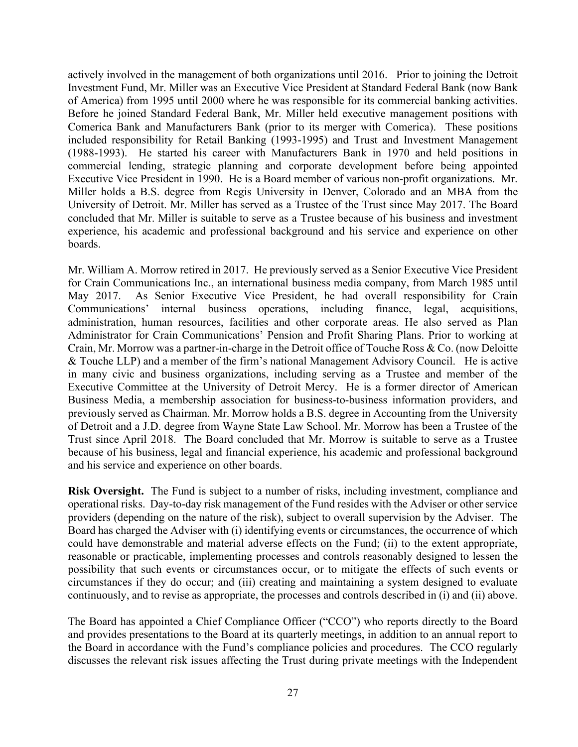actively involved in the management of both organizations until 2016. Prior to joining the Detroit Investment Fund, Mr. Miller was an Executive Vice President at Standard Federal Bank (now Bank of America) from 1995 until 2000 where he was responsible for its commercial banking activities. Before he joined Standard Federal Bank, Mr. Miller held executive management positions with Comerica Bank and Manufacturers Bank (prior to its merger with Comerica). These positions included responsibility for Retail Banking (1993-1995) and Trust and Investment Management (1988-1993). He started his career with Manufacturers Bank in 1970 and held positions in commercial lending, strategic planning and corporate development before being appointed Executive Vice President in 1990. He is a Board member of various non-profit organizations. Mr. Miller holds a B.S. degree from Regis University in Denver, Colorado and an MBA from the University of Detroit. Mr. Miller has served as a Trustee of the Trust since May 2017. The Board concluded that Mr. Miller is suitable to serve as a Trustee because of his business and investment experience, his academic and professional background and his service and experience on other boards.

Mr. William A. Morrow retired in 2017. He previously served as a Senior Executive Vice President for Crain Communications Inc., an international business media company, from March 1985 until May 2017. As Senior Executive Vice President, he had overall responsibility for Crain Communications' internal business operations, including finance, legal, acquisitions, internal business operations, including finance, legal, acquisitions, administration, human resources, facilities and other corporate areas. He also served as Plan Administrator for Crain Communications' Pension and Profit Sharing Plans. Prior to working at Crain, Mr. Morrow was a partner-in-charge in the Detroit office of Touche Ross & Co. (now Deloitte & Touche LLP) and a member of the firm's national Management Advisory Council. He is active in many civic and business organizations, including serving as a Trustee and member of the Executive Committee at the University of Detroit Mercy. He is a former director of American Business Media, a membership association for business-to-business information providers, and previously served as Chairman. Mr. Morrow holds a B.S. degree in Accounting from the University of Detroit and a J.D. degree from Wayne State Law School. Mr. Morrow has been a Trustee of the Trust since April 2018. The Board concluded that Mr. Morrow is suitable to serve as a Trustee because of his business, legal and financial experience, his academic and professional background and his service and experience on other boards.

**Risk Oversight.** The Fund is subject to a number of risks, including investment, compliance and operational risks. Day-to-day risk management of the Fund resides with the Adviser or other service providers (depending on the nature of the risk), subject to overall supervision by the Adviser. The Board has charged the Adviser with (i) identifying events or circumstances, the occurrence of which could have demonstrable and material adverse effects on the Fund; (ii) to the extent appropriate, reasonable or practicable, implementing processes and controls reasonably designed to lessen the possibility that such events or circumstances occur, or to mitigate the effects of such events or circumstances if they do occur; and (iii) creating and maintaining a system designed to evaluate continuously, and to revise as appropriate, the processes and controls described in (i) and (ii) above.

The Board has appointed a Chief Compliance Officer ("CCO") who reports directly to the Board and provides presentations to the Board at its quarterly meetings, in addition to an annual report to the Board in accordance with the Fund's compliance policies and procedures. The CCO regularly discusses the relevant risk issues affecting the Trust during private meetings with the Independent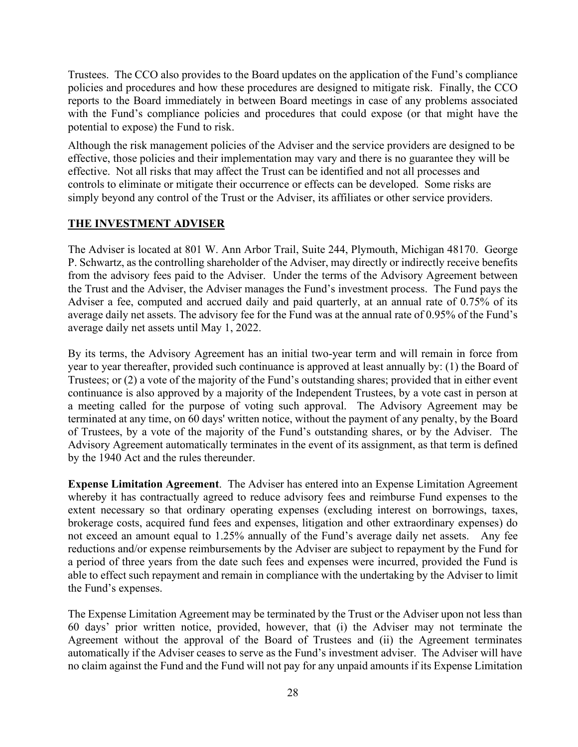Trustees. The CCO also provides to the Board updates on the application of the Fund's compliance policies and procedures and how these procedures are designed to mitigate risk. Finally, the CCO reports to the Board immediately in between Board meetings in case of any problems associated with the Fund's compliance policies and procedures that could expose (or that might have the potential to expose) the Fund to risk.

Although the risk management policies of the Adviser and the service providers are designed to be effective, those policies and their implementation may vary and there is no guarantee they will be effective. Not all risks that may affect the Trust can be identified and not all processes and controls to eliminate or mitigate their occurrence or effects can be developed. Some risks are simply beyond any control of the Trust or the Adviser, its affiliates or other service providers.

### <span id="page-27-0"></span>**THE INVESTMENT ADVISER**

The Adviser is located at 801 W. Ann Arbor Trail, Suite 244, Plymouth, Michigan 48170. George P. Schwartz, as the controlling shareholder of the Adviser, may directly or indirectly receive benefits from the advisory fees paid to the Adviser. Under the terms of the Advisory Agreement between the Trust and the Adviser, the Adviser manages the Fund's investment process. The Fund pays the Adviser a fee, computed and accrued daily and paid quarterly, at an annual rate of 0.75% of its average daily net assets. The advisory fee for the Fund was at the annual rate of 0.95% of the Fund's average daily net assets until May 1, 2022.

By its terms, the Advisory Agreement has an initial two-year term and will remain in force from year to year thereafter, provided such continuance is approved at least annually by: (1) the Board of Trustees; or (2) a vote of the majority of the Fund's outstanding shares; provided that in either event continuance is also approved by a majority of the Independent Trustees, by a vote cast in person at a meeting called for the purpose of voting such approval. The Advisory Agreement may be terminated at any time, on 60 days' written notice, without the payment of any penalty, by the Board of Trustees, by a vote of the majority of the Fund's outstanding shares, or by the Adviser. The Advisory Agreement automatically terminates in the event of its assignment, as that term is defined by the 1940 Act and the rules thereunder.

**Expense Limitation Agreement**. The Adviser has entered into an Expense Limitation Agreement whereby it has contractually agreed to reduce advisory fees and reimburse Fund expenses to the extent necessary so that ordinary operating expenses (excluding interest on borrowings, taxes, brokerage costs, acquired fund fees and expenses, litigation and other extraordinary expenses) do not exceed an amount equal to 1.25% annually of the Fund's average daily net assets. Any fee reductions and/or expense reimbursements by the Adviser are subject to repayment by the Fund for a period of three years from the date such fees and expenses were incurred, provided the Fund is able to effect such repayment and remain in compliance with the undertaking by the Adviser to limit the Fund's expenses.

The Expense Limitation Agreement may be terminated by the Trust or the Adviser upon not less than 60 days' prior written notice, provided, however, that (i) the Adviser may not terminate the Agreement without the approval of the Board of Trustees and (ii) the Agreement terminates automatically if the Adviser ceases to serve as the Fund's investment adviser. The Adviser will have no claim against the Fund and the Fund will not pay for any unpaid amounts if its Expense Limitation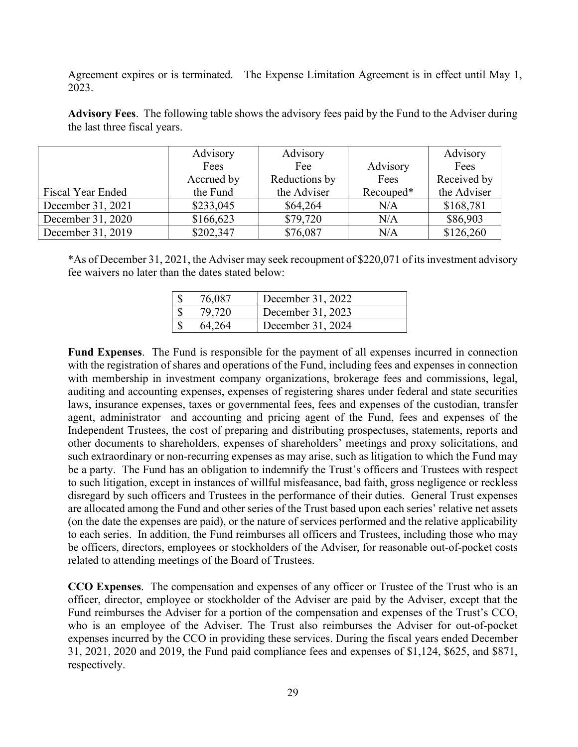Agreement expires or is terminated. The Expense Limitation Agreement is in effect until May 1, 2023.

|                   | Advisory   | Advisory      |           | Advisory    |
|-------------------|------------|---------------|-----------|-------------|
|                   | Fees       | Fee           | Advisory  | Fees        |
|                   | Accrued by | Reductions by | Fees      | Received by |
| Fiscal Year Ended | the Fund   | the Adviser   | Recouped* | the Adviser |
| December 31, 2021 | \$233,045  | \$64,264      | N/A       | \$168,781   |
| December 31, 2020 | \$166,623  | \$79,720      | N/A       | \$86,903    |
| December 31, 2019 | \$202,347  | \$76,087      | N/A       | \$126,260   |

**Advisory Fees**. The following table shows the advisory fees paid by the Fund to the Adviser during the last three fiscal years.

\*As of December 31, 2021, the Adviser may seek recoupment of \$220,071 of its investment advisory fee waivers no later than the dates stated below:

| 76,087 | December 31, 2022 |
|--------|-------------------|
| 79,720 | December 31, 2023 |
| 64,264 | December 31, 2024 |

**Fund Expenses**. The Fund is responsible for the payment of all expenses incurred in connection with the registration of shares and operations of the Fund, including fees and expenses in connection with membership in investment company organizations, brokerage fees and commissions, legal, auditing and accounting expenses, expenses of registering shares under federal and state securities laws, insurance expenses, taxes or governmental fees, fees and expenses of the custodian, transfer agent, administrator and accounting and pricing agent of the Fund, fees and expenses of the Independent Trustees, the cost of preparing and distributing prospectuses, statements, reports and other documents to shareholders, expenses of shareholders' meetings and proxy solicitations, and such extraordinary or non-recurring expenses as may arise, such as litigation to which the Fund may be a party. The Fund has an obligation to indemnify the Trust's officers and Trustees with respect to such litigation, except in instances of willful misfeasance, bad faith, gross negligence or reckless disregard by such officers and Trustees in the performance of their duties. General Trust expenses are allocated among the Fund and other series of the Trust based upon each series' relative net assets (on the date the expenses are paid), or the nature of services performed and the relative applicability to each series. In addition, the Fund reimburses all officers and Trustees, including those who may be officers, directors, employees or stockholders of the Adviser, for reasonable out-of-pocket costs related to attending meetings of the Board of Trustees.

**CCO Expenses**. The compensation and expenses of any officer or Trustee of the Trust who is an officer, director, employee or stockholder of the Adviser are paid by the Adviser, except that the Fund reimburses the Adviser for a portion of the compensation and expenses of the Trust's CCO, who is an employee of the Adviser. The Trust also reimburses the Adviser for out-of-pocket expenses incurred by the CCO in providing these services. During the fiscal years ended December 31, 2021, 2020 and 2019, the Fund paid compliance fees and expenses of \$1,124, \$625, and \$871, respectively.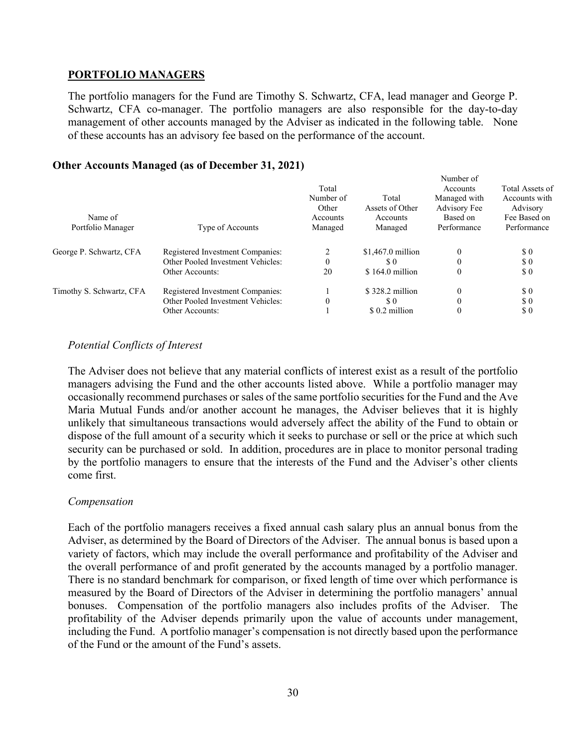#### **PORTFOLIO MANAGERS**

The portfolio managers for the Fund are Timothy S. Schwartz, CFA, lead manager and George P. Schwartz, CFA co-manager. The portfolio managers are also responsible for the day-to-day management of other accounts managed by the Adviser as indicated in the following table. None of these accounts has an advisory fee based on the performance of the account.

|                          |                                   |           |                    | Number of    |                 |
|--------------------------|-----------------------------------|-----------|--------------------|--------------|-----------------|
|                          |                                   | Total     |                    | Accounts     | Total Assets of |
|                          |                                   | Number of | Total              | Managed with | Accounts with   |
|                          |                                   | Other     | Assets of Other    | Advisory Fee | Advisory        |
| Name of                  |                                   | Accounts  | Accounts           | Based on     | Fee Based on    |
| Portfolio Manager        | Type of Accounts                  | Managed   | Managed            | Performance  | Performance     |
| George P. Schwartz, CFA  | Registered Investment Companies:  |           | $$1,467.0$ million | $\theta$     | \$0             |
|                          | Other Pooled Investment Vehicles: | 0         | \$0                | $\theta$     | \$0             |
|                          | Other Accounts:                   | 20        | $$164.0$ million   | $\theta$     | \$0             |
| Timothy S. Schwartz, CFA | Registered Investment Companies:  |           | \$328.2 million    | $\theta$     | \$0             |
|                          | Other Pooled Investment Vehicles: | 0         | \$0                | $\theta$     | \$0             |
|                          | Other Accounts:                   |           | \$ 0.2 million     | $\theta$     | \$0             |
|                          |                                   |           |                    |              |                 |

#### **Other Accounts Managed (as of December 31, 2021)**

#### *Potential Conflicts of Interest*

The Adviser does not believe that any material conflicts of interest exist as a result of the portfolio managers advising the Fund and the other accounts listed above. While a portfolio manager may occasionally recommend purchases or sales of the same portfolio securities for the Fund and the Ave Maria Mutual Funds and/or another account he manages, the Adviser believes that it is highly unlikely that simultaneous transactions would adversely affect the ability of the Fund to obtain or dispose of the full amount of a security which it seeks to purchase or sell or the price at which such security can be purchased or sold. In addition, procedures are in place to monitor personal trading by the portfolio managers to ensure that the interests of the Fund and the Adviser's other clients come first.

#### *Compensation*

Each of the portfolio managers receives a fixed annual cash salary plus an annual bonus from the Adviser, as determined by the Board of Directors of the Adviser. The annual bonus is based upon a variety of factors, which may include the overall performance and profitability of the Adviser and the overall performance of and profit generated by the accounts managed by a portfolio manager. There is no standard benchmark for comparison, or fixed length of time over which performance is measured by the Board of Directors of the Adviser in determining the portfolio managers' annual bonuses. Compensation of the portfolio managers also includes profits of the Adviser. The profitability of the Adviser depends primarily upon the value of accounts under management, including the Fund. A portfolio manager's compensation is not directly based upon the performance of the Fund or the amount of the Fund's assets.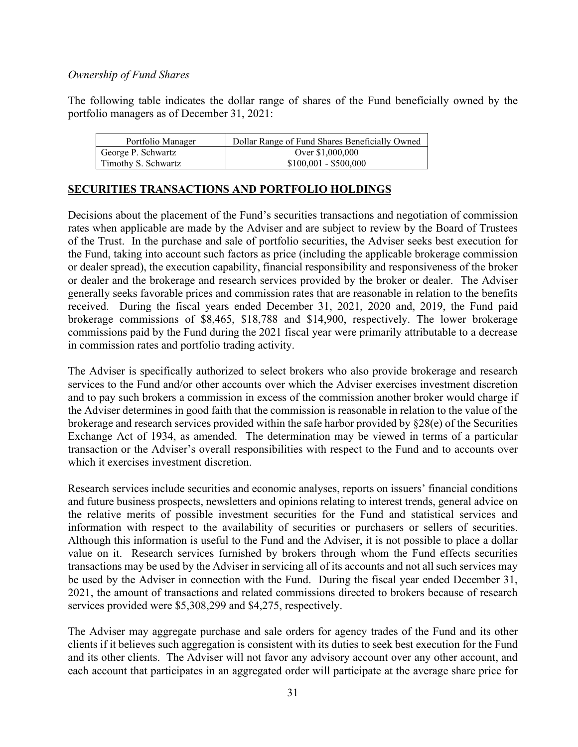### *Ownership of Fund Shares*

The following table indicates the dollar range of shares of the Fund beneficially owned by the portfolio managers as of December 31, 2021:

| Portfolio Manager   | Dollar Range of Fund Shares Beneficially Owned |
|---------------------|------------------------------------------------|
| George P. Schwartz  | Over \$1,000,000                               |
| Timothy S. Schwartz | $$100,001 - $500,000$                          |

### <span id="page-30-0"></span>**SECURITIES TRANSACTIONS AND PORTFOLIO HOLDINGS**

Decisions about the placement of the Fund's securities transactions and negotiation of commission rates when applicable are made by the Adviser and are subject to review by the Board of Trustees of the Trust. In the purchase and sale of portfolio securities, the Adviser seeks best execution for the Fund, taking into account such factors as price (including the applicable brokerage commission or dealer spread), the execution capability, financial responsibility and responsiveness of the broker or dealer and the brokerage and research services provided by the broker or dealer. The Adviser generally seeks favorable prices and commission rates that are reasonable in relation to the benefits received. During the fiscal years ended December 31, 2021, 2020 and, 2019, the Fund paid brokerage commissions of \$8,465, \$18,788 and \$14,900, respectively. The lower brokerage commissions paid by the Fund during the 2021 fiscal year were primarily attributable to a decrease in commission rates and portfolio trading activity.

The Adviser is specifically authorized to select brokers who also provide brokerage and research services to the Fund and/or other accounts over which the Adviser exercises investment discretion and to pay such brokers a commission in excess of the commission another broker would charge if the Adviser determines in good faith that the commission is reasonable in relation to the value of the brokerage and research services provided within the safe harbor provided by §28(e) of the Securities Exchange Act of 1934, as amended. The determination may be viewed in terms of a particular transaction or the Adviser's overall responsibilities with respect to the Fund and to accounts over which it exercises investment discretion.

Research services include securities and economic analyses, reports on issuers' financial conditions and future business prospects, newsletters and opinions relating to interest trends, general advice on the relative merits of possible investment securities for the Fund and statistical services and information with respect to the availability of securities or purchasers or sellers of securities. Although this information is useful to the Fund and the Adviser, it is not possible to place a dollar value on it. Research services furnished by brokers through whom the Fund effects securities transactions may be used by the Adviser in servicing all of its accounts and not all such services may be used by the Adviser in connection with the Fund. During the fiscal year ended December 31, 2021, the amount of transactions and related commissions directed to brokers because of research services provided were \$5,308,299 and \$4,275, respectively.

The Adviser may aggregate purchase and sale orders for agency trades of the Fund and its other clients if it believes such aggregation is consistent with its duties to seek best execution for the Fund and its other clients. The Adviser will not favor any advisory account over any other account, and each account that participates in an aggregated order will participate at the average share price for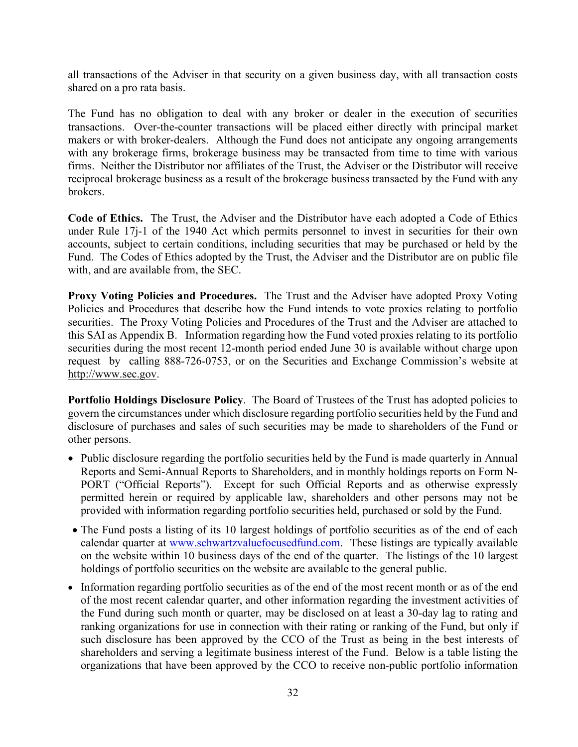all transactions of the Adviser in that security on a given business day, with all transaction costs shared on a pro rata basis.

The Fund has no obligation to deal with any broker or dealer in the execution of securities transactions. Over-the-counter transactions will be placed either directly with principal market makers or with broker-dealers. Although the Fund does not anticipate any ongoing arrangements with any brokerage firms, brokerage business may be transacted from time to time with various firms. Neither the Distributor nor affiliates of the Trust, the Adviser or the Distributor will receive reciprocal brokerage business as a result of the brokerage business transacted by the Fund with any brokers.

**Code of Ethics.** The Trust, the Adviser and the Distributor have each adopted a Code of Ethics under Rule 17j-1 of the 1940 Act which permits personnel to invest in securities for their own accounts, subject to certain conditions, including securities that may be purchased or held by the Fund. The Codes of Ethics adopted by the Trust, the Adviser and the Distributor are on public file with, and are available from, the SEC.

**Proxy Voting Policies and Procedures.** The Trust and the Adviser have adopted Proxy Voting Policies and Procedures that describe how the Fund intends to vote proxies relating to portfolio securities. The Proxy Voting Policies and Procedures of the Trust and the Adviser are attached to this SAI as Appendix B. Information regarding how the Fund voted proxies relating to its portfolio securities during the most recent 12-month period ended June 30 is available without charge upon request by calling 888-726-0753, or on the Securities and Exchange Commission's website at [http://www.sec.gov.](http://www.sec.gov/)

**Portfolio Holdings Disclosure Policy**. The Board of Trustees of the Trust has adopted policies to govern the circumstances under which disclosure regarding portfolio securities held by the Fund and disclosure of purchases and sales of such securities may be made to shareholders of the Fund or other persons.

- Public disclosure regarding the portfolio securities held by the Fund is made quarterly in Annual Reports and Semi-Annual Reports to Shareholders, and in monthly holdings reports on Form N-PORT ("Official Reports"). Except for such Official Reports and as otherwise expressly permitted herein or required by applicable law, shareholders and other persons may not be provided with information regarding portfolio securities held, purchased or sold by the Fund.
- The Fund posts a listing of its 10 largest holdings of portfolio securities as of the end of each calendar quarter at [www.schwartzvaluefocusedfund.com.](http://www.schwartzvaluefocusedfund.com/) These listings are typically available on the website within 10 business days of the end of the quarter. The listings of the 10 largest holdings of portfolio securities on the website are available to the general public.
- Information regarding portfolio securities as of the end of the most recent month or as of the end of the most recent calendar quarter, and other information regarding the investment activities of the Fund during such month or quarter, may be disclosed on at least a 30-day lag to rating and ranking organizations for use in connection with their rating or ranking of the Fund, but only if such disclosure has been approved by the CCO of the Trust as being in the best interests of shareholders and serving a legitimate business interest of the Fund. Below is a table listing the organizations that have been approved by the CCO to receive non-public portfolio information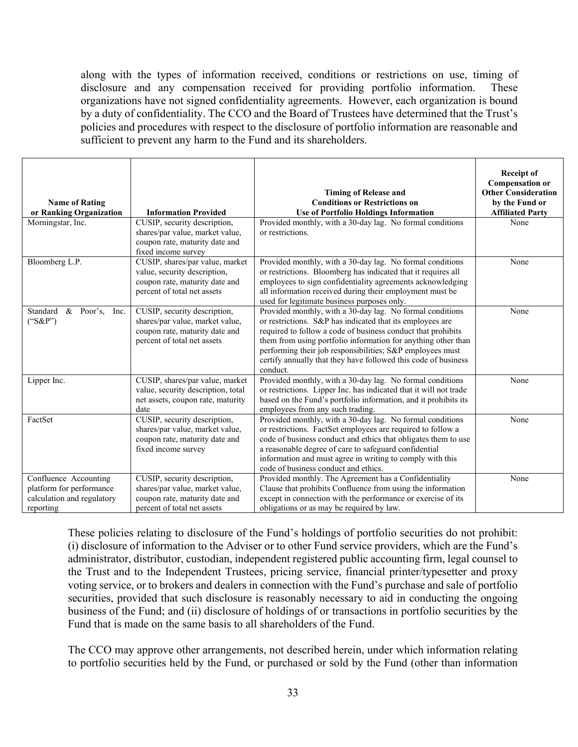along with the types of information received, conditions or restrictions on use, timing of disclosure and any compensation received for providing portfolio information. These organizations have not signed confidentiality agreements. However, each organization is bound by a duty of confidentiality. The CCO and the Board of Trustees have determined that the Trust's policies and procedures with respect to the disclosure of portfolio information are reasonable and sufficient to prevent any harm to the Fund and its shareholders.

| <b>Name of Rating</b><br>or Ranking Organization                                             | <b>Information Provided</b>                                                                                                      | <b>Timing of Release and</b><br><b>Conditions or Restrictions on</b><br><b>Use of Portfolio Holdings Information</b>                                                                                                                                                                                                                                                                               | Receipt of<br><b>Compensation or</b><br><b>Other Consideration</b><br>by the Fund or<br><b>Affiliated Party</b> |
|----------------------------------------------------------------------------------------------|----------------------------------------------------------------------------------------------------------------------------------|----------------------------------------------------------------------------------------------------------------------------------------------------------------------------------------------------------------------------------------------------------------------------------------------------------------------------------------------------------------------------------------------------|-----------------------------------------------------------------------------------------------------------------|
| Morningstar, Inc.                                                                            | CUSIP, security description,<br>shares/par value, market value,<br>coupon rate, maturity date and<br>fixed income survey         | Provided monthly, with a 30-day lag. No formal conditions<br>or restrictions.                                                                                                                                                                                                                                                                                                                      | None                                                                                                            |
| Bloomberg L.P.                                                                               | CUSIP, shares/par value, market<br>value, security description,<br>coupon rate, maturity date and<br>percent of total net assets | Provided monthly, with a 30-day lag. No formal conditions<br>or restrictions. Bloomberg has indicated that it requires all<br>employees to sign confidentiality agreements acknowledging<br>all information received during their employment must be<br>used for legitimate business purposes only.                                                                                                | None                                                                                                            |
| Standard<br>&<br>Poor's,<br>Inc.<br>$("S\&P")$                                               | CUSIP, security description,<br>shares/par value, market value,<br>coupon rate, maturity date and<br>percent of total net assets | Provided monthly, with a 30-day lag. No formal conditions<br>or restrictions. S&P has indicated that its employees are<br>required to follow a code of business conduct that prohibits<br>them from using portfolio information for anything other than<br>performing their job responsibilities; S&P employees must<br>certify annually that they have followed this code of business<br>conduct. | None                                                                                                            |
| Lipper Inc.                                                                                  | CUSIP, shares/par value, market<br>value, security description, total<br>net assets, coupon rate, maturity<br>date               | Provided monthly, with a 30-day lag. No formal conditions<br>or restrictions. Lipper Inc. has indicated that it will not trade<br>based on the Fund's portfolio information, and it prohibits its<br>employees from any such trading.                                                                                                                                                              | None                                                                                                            |
| FactSet                                                                                      | CUSIP, security description,<br>shares/par value, market value,<br>coupon rate, maturity date and<br>fixed income survey         | Provided monthly, with a 30-day lag. No formal conditions<br>or restrictions. FactSet employees are required to follow a<br>code of business conduct and ethics that obligates them to use<br>a reasonable degree of care to safeguard confidential<br>information and must agree in writing to comply with this<br>code of business conduct and ethics.                                           | None                                                                                                            |
| Confluence Accounting<br>platform for performance<br>calculation and regulatory<br>reporting | CUSIP, security description,<br>shares/par value, market value,<br>coupon rate, maturity date and<br>percent of total net assets | Provided monthly. The Agreement has a Confidentiality<br>Clause that prohibits Confluence from using the information<br>except in connection with the performance or exercise of its<br>obligations or as may be required by law.                                                                                                                                                                  | None                                                                                                            |

These policies relating to disclosure of the Fund's holdings of portfolio securities do not prohibit: (i) disclosure of information to the Adviser or to other Fund service providers, which are the Fund's administrator, distributor, custodian, independent registered public accounting firm, legal counsel to the Trust and to the Independent Trustees, pricing service, financial printer/typesetter and proxy voting service, or to brokers and dealers in connection with the Fund's purchase and sale of portfolio securities, provided that such disclosure is reasonably necessary to aid in conducting the ongoing business of the Fund; and (ii) disclosure of holdings of or transactions in portfolio securities by the Fund that is made on the same basis to all shareholders of the Fund.

The CCO may approve other arrangements, not described herein, under which information relating to portfolio securities held by the Fund, or purchased or sold by the Fund (other than information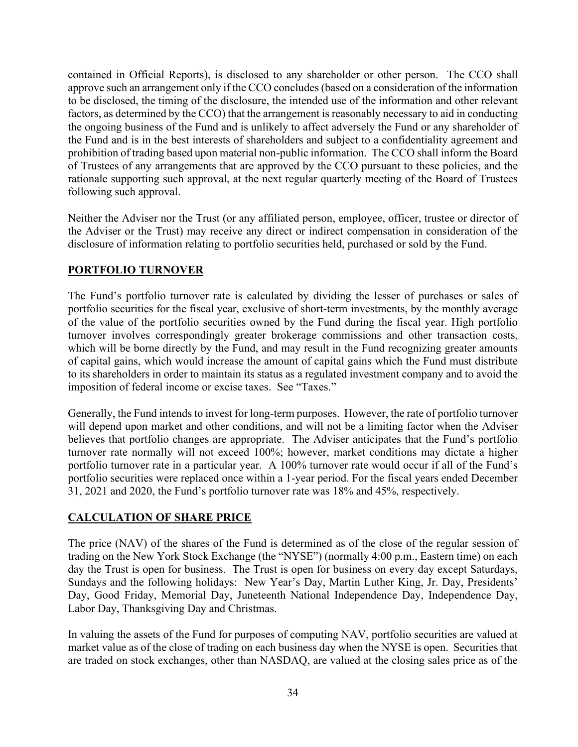contained in Official Reports), is disclosed to any shareholder or other person. The CCO shall approve such an arrangement only if the CCO concludes (based on a consideration of the information to be disclosed, the timing of the disclosure, the intended use of the information and other relevant factors, as determined by the CCO) that the arrangement is reasonably necessary to aid in conducting the ongoing business of the Fund and is unlikely to affect adversely the Fund or any shareholder of the Fund and is in the best interests of shareholders and subject to a confidentiality agreement and prohibition of trading based upon material non-public information. The CCO shall inform the Board of Trustees of any arrangements that are approved by the CCO pursuant to these policies, and the rationale supporting such approval, at the next regular quarterly meeting of the Board of Trustees following such approval.

Neither the Adviser nor the Trust (or any affiliated person, employee, officer, trustee or director of the Adviser or the Trust) may receive any direct or indirect compensation in consideration of the disclosure of information relating to portfolio securities held, purchased or sold by the Fund.

### <span id="page-33-0"></span>**PORTFOLIO TURNOVER**

The Fund's portfolio turnover rate is calculated by dividing the lesser of purchases or sales of portfolio securities for the fiscal year, exclusive of short-term investments, by the monthly average of the value of the portfolio securities owned by the Fund during the fiscal year. High portfolio turnover involves correspondingly greater brokerage commissions and other transaction costs, which will be borne directly by the Fund, and may result in the Fund recognizing greater amounts of capital gains, which would increase the amount of capital gains which the Fund must distribute to its shareholders in order to maintain its status as a regulated investment company and to avoid the imposition of federal income or excise taxes. See "Taxes."

Generally, the Fund intends to invest for long-term purposes. However, the rate of portfolio turnover will depend upon market and other conditions, and will not be a limiting factor when the Adviser believes that portfolio changes are appropriate. The Adviser anticipates that the Fund's portfolio turnover rate normally will not exceed 100%; however, market conditions may dictate a higher portfolio turnover rate in a particular year. A 100% turnover rate would occur if all of the Fund's portfolio securities were replaced once within a 1-year period. For the fiscal years ended December 31, 2021 and 2020, the Fund's portfolio turnover rate was 18% and 45%, respectively.

## <span id="page-33-1"></span>**CALCULATION OF SHARE PRICE**

The price (NAV) of the shares of the Fund is determined as of the close of the regular session of trading on the New York Stock Exchange (the "NYSE") (normally 4:00 p.m., Eastern time) on each day the Trust is open for business. The Trust is open for business on every day except Saturdays, Sundays and the following holidays: New Year's Day, Martin Luther King, Jr. Day, Presidents' Day, Good Friday, Memorial Day, Juneteenth National Independence Day, Independence Day, Labor Day, Thanksgiving Day and Christmas.

In valuing the assets of the Fund for purposes of computing NAV, portfolio securities are valued at market value as of the close of trading on each business day when the NYSE is open. Securities that are traded on stock exchanges, other than NASDAQ, are valued at the closing sales price as of the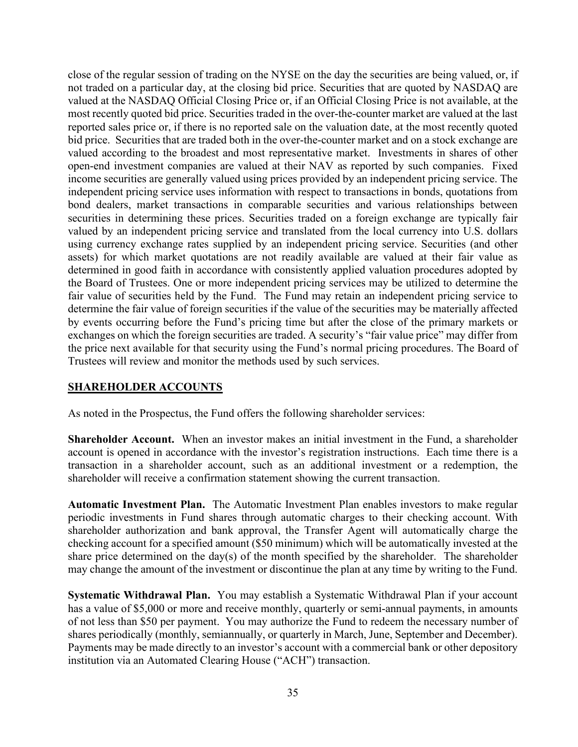close of the regular session of trading on the NYSE on the day the securities are being valued, or, if not traded on a particular day, at the closing bid price. Securities that are quoted by NASDAQ are valued at the NASDAQ Official Closing Price or, if an Official Closing Price is not available, at the most recently quoted bid price. Securities traded in the over-the-counter market are valued at the last reported sales price or, if there is no reported sale on the valuation date, at the most recently quoted bid price. Securities that are traded both in the over-the-counter market and on a stock exchange are valued according to the broadest and most representative market. Investments in shares of other open-end investment companies are valued at their NAV as reported by such companies. Fixed income securities are generally valued using prices provided by an independent pricing service. The independent pricing service uses information with respect to transactions in bonds, quotations from bond dealers, market transactions in comparable securities and various relationships between securities in determining these prices. Securities traded on a foreign exchange are typically fair valued by an independent pricing service and translated from the local currency into U.S. dollars using currency exchange rates supplied by an independent pricing service. Securities (and other assets) for which market quotations are not readily available are valued at their fair value as determined in good faith in accordance with consistently applied valuation procedures adopted by the Board of Trustees. One or more independent pricing services may be utilized to determine the fair value of securities held by the Fund. The Fund may retain an independent pricing service to determine the fair value of foreign securities if the value of the securities may be materially affected by events occurring before the Fund's pricing time but after the close of the primary markets or exchanges on which the foreign securities are traded. A security's "fair value price" may differ from the price next available for that security using the Fund's normal pricing procedures. The Board of Trustees will review and monitor the methods used by such services.

### <span id="page-34-0"></span>**SHAREHOLDER ACCOUNTS**

As noted in the Prospectus, the Fund offers the following shareholder services:

**Shareholder Account.** When an investor makes an initial investment in the Fund, a shareholder account is opened in accordance with the investor's registration instructions. Each time there is a transaction in a shareholder account, such as an additional investment or a redemption, the shareholder will receive a confirmation statement showing the current transaction.

**Automatic Investment Plan.** The Automatic Investment Plan enables investors to make regular periodic investments in Fund shares through automatic charges to their checking account. With shareholder authorization and bank approval, the Transfer Agent will automatically charge the checking account for a specified amount (\$50 minimum) which will be automatically invested at the share price determined on the day(s) of the month specified by the shareholder. The shareholder may change the amount of the investment or discontinue the plan at any time by writing to the Fund.

**Systematic Withdrawal Plan.** You may establish a Systematic Withdrawal Plan if your account has a value of \$5,000 or more and receive monthly, quarterly or semi-annual payments, in amounts of not less than \$50 per payment. You may authorize the Fund to redeem the necessary number of shares periodically (monthly, semiannually, or quarterly in March, June, September and December). Payments may be made directly to an investor's account with a commercial bank or other depository institution via an Automated Clearing House ("ACH") transaction.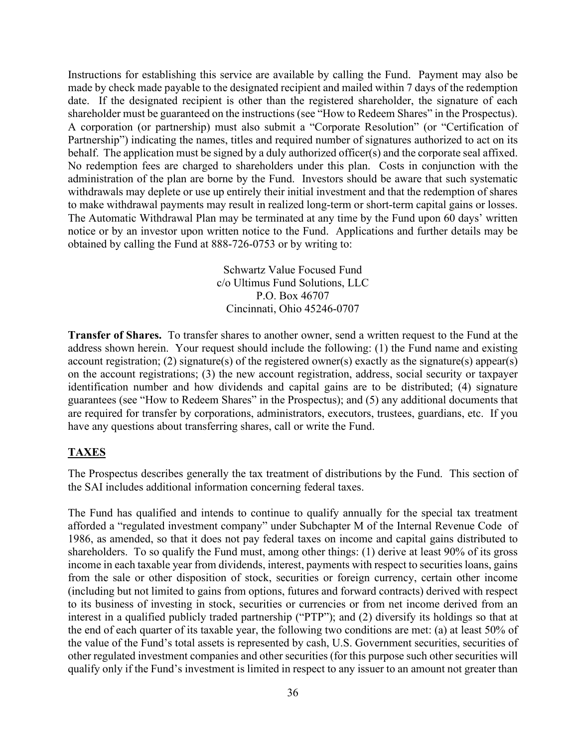Instructions for establishing this service are available by calling the Fund. Payment may also be made by check made payable to the designated recipient and mailed within 7 days of the redemption date. If the designated recipient is other than the registered shareholder, the signature of each shareholder must be guaranteed on the instructions (see "How to Redeem Shares" in the Prospectus). A corporation (or partnership) must also submit a "Corporate Resolution" (or "Certification of Partnership") indicating the names, titles and required number of signatures authorized to act on its behalf. The application must be signed by a duly authorized officer(s) and the corporate seal affixed. No redemption fees are charged to shareholders under this plan. Costs in conjunction with the administration of the plan are borne by the Fund. Investors should be aware that such systematic withdrawals may deplete or use up entirely their initial investment and that the redemption of shares to make withdrawal payments may result in realized long-term or short-term capital gains or losses. The Automatic Withdrawal Plan may be terminated at any time by the Fund upon 60 days' written notice or by an investor upon written notice to the Fund. Applications and further details may be obtained by calling the Fund at 888-726-0753 or by writing to:

> Schwartz Value Focused Fund c/o Ultimus Fund Solutions, LLC P.O. Box 46707 Cincinnati, Ohio 45246-0707

**Transfer of Shares.** To transfer shares to another owner, send a written request to the Fund at the address shown herein. Your request should include the following: (1) the Fund name and existing account registration; (2) signature(s) of the registered owner(s) exactly as the signature(s) appear(s) on the account registrations; (3) the new account registration, address, social security or taxpayer identification number and how dividends and capital gains are to be distributed; (4) signature guarantees (see "How to Redeem Shares" in the Prospectus); and (5) any additional documents that are required for transfer by corporations, administrators, executors, trustees, guardians, etc. If you have any questions about transferring shares, call or write the Fund.

## <span id="page-35-0"></span>**TAXES**

The Prospectus describes generally the tax treatment of distributions by the Fund. This section of the SAI includes additional information concerning federal taxes.

The Fund has qualified and intends to continue to qualify annually for the special tax treatment afforded a "regulated investment company" under Subchapter M of the Internal Revenue Code of 1986, as amended, so that it does not pay federal taxes on income and capital gains distributed to shareholders. To so qualify the Fund must, among other things: (1) derive at least 90% of its gross income in each taxable year from dividends, interest, payments with respect to securities loans, gains from the sale or other disposition of stock, securities or foreign currency, certain other income (including but not limited to gains from options, futures and forward contracts) derived with respect to its business of investing in stock, securities or currencies or from net income derived from an interest in a qualified publicly traded partnership ("PTP"); and (2) diversify its holdings so that at the end of each quarter of its taxable year, the following two conditions are met: (a) at least 50% of the value of the Fund's total assets is represented by cash, U.S. Government securities, securities of other regulated investment companies and other securities (for this purpose such other securities will qualify only if the Fund's investment is limited in respect to any issuer to an amount not greater than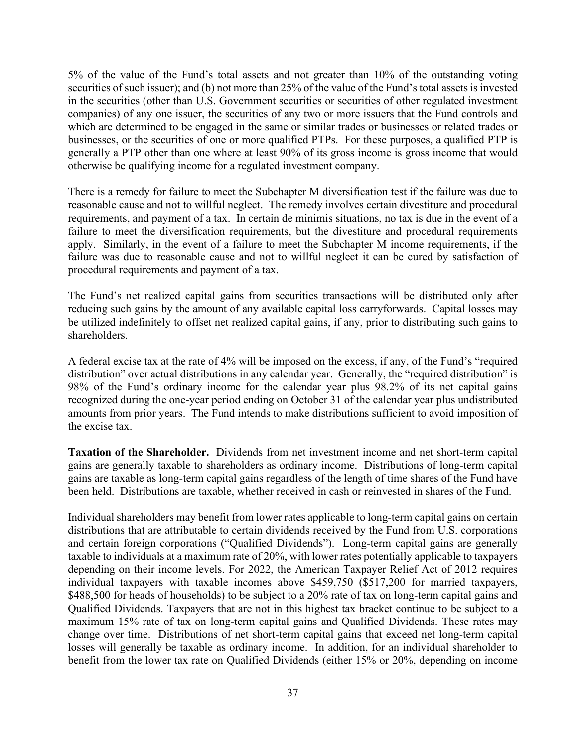5% of the value of the Fund's total assets and not greater than 10% of the outstanding voting securities of such issuer); and (b) not more than 25% of the value of the Fund's total assets is invested in the securities (other than U.S. Government securities or securities of other regulated investment companies) of any one issuer, the securities of any two or more issuers that the Fund controls and which are determined to be engaged in the same or similar trades or businesses or related trades or businesses, or the securities of one or more qualified PTPs. For these purposes, a qualified PTP is generally a PTP other than one where at least 90% of its gross income is gross income that would otherwise be qualifying income for a regulated investment company.

There is a remedy for failure to meet the Subchapter M diversification test if the failure was due to reasonable cause and not to willful neglect. The remedy involves certain divestiture and procedural requirements, and payment of a tax. In certain de minimis situations, no tax is due in the event of a failure to meet the diversification requirements, but the divestiture and procedural requirements apply. Similarly, in the event of a failure to meet the Subchapter M income requirements, if the failure was due to reasonable cause and not to willful neglect it can be cured by satisfaction of procedural requirements and payment of a tax.

The Fund's net realized capital gains from securities transactions will be distributed only after reducing such gains by the amount of any available capital loss carryforwards. Capital losses may be utilized indefinitely to offset net realized capital gains, if any, prior to distributing such gains to shareholders.

A federal excise tax at the rate of 4% will be imposed on the excess, if any, of the Fund's "required distribution" over actual distributions in any calendar year. Generally, the "required distribution" is 98% of the Fund's ordinary income for the calendar year plus 98.2% of its net capital gains recognized during the one-year period ending on October 31 of the calendar year plus undistributed amounts from prior years. The Fund intends to make distributions sufficient to avoid imposition of the excise tax.

**Taxation of the Shareholder.** Dividends from net investment income and net short-term capital gains are generally taxable to shareholders as ordinary income. Distributions of long-term capital gains are taxable as long-term capital gains regardless of the length of time shares of the Fund have been held. Distributions are taxable, whether received in cash or reinvested in shares of the Fund.

Individual shareholders may benefit from lower rates applicable to long-term capital gains on certain distributions that are attributable to certain dividends received by the Fund from U.S. corporations and certain foreign corporations ("Qualified Dividends"). Long-term capital gains are generally taxable to individuals at a maximum rate of 20%, with lower rates potentially applicable to taxpayers depending on their income levels. For 2022, the American Taxpayer Relief Act of 2012 requires individual taxpayers with taxable incomes above \$459,750 (\$517,200 for married taxpayers, \$488,500 for heads of households) to be subject to a 20% rate of tax on long-term capital gains and Qualified Dividends. Taxpayers that are not in this highest tax bracket continue to be subject to a maximum 15% rate of tax on long-term capital gains and Qualified Dividends. These rates may change over time. Distributions of net short-term capital gains that exceed net long-term capital losses will generally be taxable as ordinary income. In addition, for an individual shareholder to benefit from the lower tax rate on Qualified Dividends (either 15% or 20%, depending on income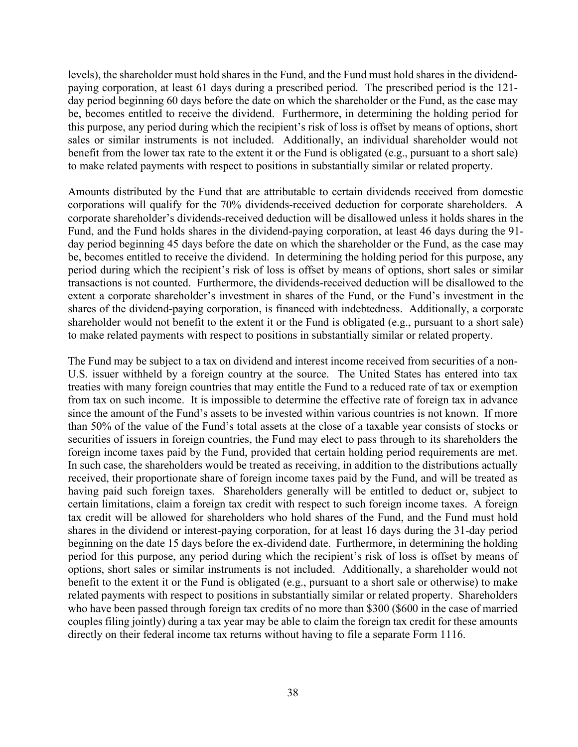levels), the shareholder must hold shares in the Fund, and the Fund must hold shares in the dividendpaying corporation, at least 61 days during a prescribed period. The prescribed period is the 121 day period beginning 60 days before the date on which the shareholder or the Fund, as the case may be, becomes entitled to receive the dividend. Furthermore, in determining the holding period for this purpose, any period during which the recipient's risk of loss is offset by means of options, short sales or similar instruments is not included. Additionally, an individual shareholder would not benefit from the lower tax rate to the extent it or the Fund is obligated (e.g., pursuant to a short sale) to make related payments with respect to positions in substantially similar or related property.

Amounts distributed by the Fund that are attributable to certain dividends received from domestic corporations will qualify for the 70% dividends-received deduction for corporate shareholders. A corporate shareholder's dividends-received deduction will be disallowed unless it holds shares in the Fund, and the Fund holds shares in the dividend-paying corporation, at least 46 days during the 91 day period beginning 45 days before the date on which the shareholder or the Fund, as the case may be, becomes entitled to receive the dividend. In determining the holding period for this purpose, any period during which the recipient's risk of loss is offset by means of options, short sales or similar transactions is not counted. Furthermore, the dividends-received deduction will be disallowed to the extent a corporate shareholder's investment in shares of the Fund, or the Fund's investment in the shares of the dividend-paying corporation, is financed with indebtedness. Additionally, a corporate shareholder would not benefit to the extent it or the Fund is obligated (e.g., pursuant to a short sale) to make related payments with respect to positions in substantially similar or related property.

The Fund may be subject to a tax on dividend and interest income received from securities of a non-U.S. issuer withheld by a foreign country at the source. The United States has entered into tax treaties with many foreign countries that may entitle the Fund to a reduced rate of tax or exemption from tax on such income. It is impossible to determine the effective rate of foreign tax in advance since the amount of the Fund's assets to be invested within various countries is not known. If more than 50% of the value of the Fund's total assets at the close of a taxable year consists of stocks or securities of issuers in foreign countries, the Fund may elect to pass through to its shareholders the foreign income taxes paid by the Fund, provided that certain holding period requirements are met. In such case, the shareholders would be treated as receiving, in addition to the distributions actually received, their proportionate share of foreign income taxes paid by the Fund, and will be treated as having paid such foreign taxes. Shareholders generally will be entitled to deduct or, subject to certain limitations, claim a foreign tax credit with respect to such foreign income taxes. A foreign tax credit will be allowed for shareholders who hold shares of the Fund, and the Fund must hold shares in the dividend or interest-paying corporation, for at least 16 days during the 31-day period beginning on the date 15 days before the ex-dividend date. Furthermore, in determining the holding period for this purpose, any period during which the recipient's risk of loss is offset by means of options, short sales or similar instruments is not included. Additionally, a shareholder would not benefit to the extent it or the Fund is obligated (e.g., pursuant to a short sale or otherwise) to make related payments with respect to positions in substantially similar or related property. Shareholders who have been passed through foreign tax credits of no more than \$300 (\$600 in the case of married couples filing jointly) during a tax year may be able to claim the foreign tax credit for these amounts directly on their federal income tax returns without having to file a separate Form 1116.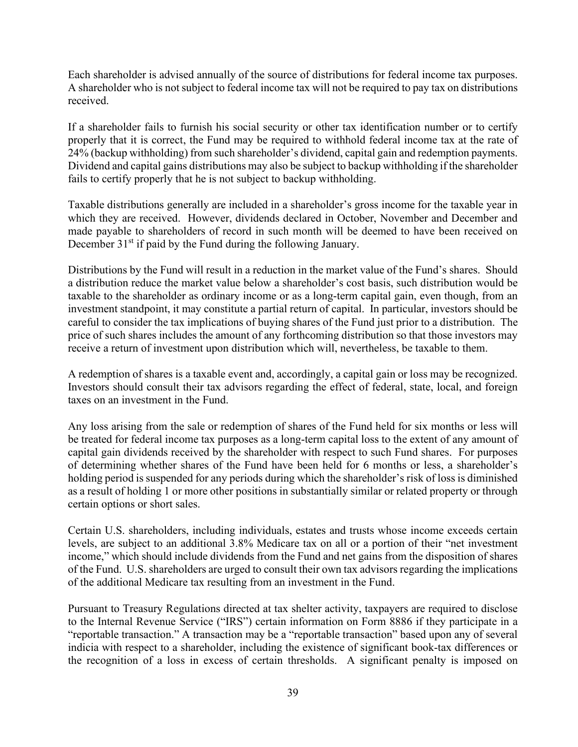Each shareholder is advised annually of the source of distributions for federal income tax purposes. A shareholder who is not subject to federal income tax will not be required to pay tax on distributions received.

If a shareholder fails to furnish his social security or other tax identification number or to certify properly that it is correct, the Fund may be required to withhold federal income tax at the rate of 24% (backup withholding) from such shareholder's dividend, capital gain and redemption payments. Dividend and capital gains distributions may also be subject to backup withholding if the shareholder fails to certify properly that he is not subject to backup withholding.

Taxable distributions generally are included in a shareholder's gross income for the taxable year in which they are received. However, dividends declared in October, November and December and made payable to shareholders of record in such month will be deemed to have been received on December 31<sup>st</sup> if paid by the Fund during the following January.

Distributions by the Fund will result in a reduction in the market value of the Fund's shares. Should a distribution reduce the market value below a shareholder's cost basis, such distribution would be taxable to the shareholder as ordinary income or as a long-term capital gain, even though, from an investment standpoint, it may constitute a partial return of capital. In particular, investors should be careful to consider the tax implications of buying shares of the Fund just prior to a distribution. The price of such shares includes the amount of any forthcoming distribution so that those investors may receive a return of investment upon distribution which will, nevertheless, be taxable to them.

A redemption of shares is a taxable event and, accordingly, a capital gain or loss may be recognized. Investors should consult their tax advisors regarding the effect of federal, state, local, and foreign taxes on an investment in the Fund.

Any loss arising from the sale or redemption of shares of the Fund held for six months or less will be treated for federal income tax purposes as a long-term capital loss to the extent of any amount of capital gain dividends received by the shareholder with respect to such Fund shares. For purposes of determining whether shares of the Fund have been held for 6 months or less, a shareholder's holding period is suspended for any periods during which the shareholder's risk of loss is diminished as a result of holding 1 or more other positions in substantially similar or related property or through certain options or short sales.

Certain U.S. shareholders, including individuals, estates and trusts whose income exceeds certain levels, are subject to an additional 3.8% Medicare tax on all or a portion of their "net investment income," which should include dividends from the Fund and net gains from the disposition of shares of the Fund. U.S. shareholders are urged to consult their own tax advisors regarding the implications of the additional Medicare tax resulting from an investment in the Fund.

Pursuant to Treasury Regulations directed at tax shelter activity, taxpayers are required to disclose to the Internal Revenue Service ("IRS") certain information on Form 8886 if they participate in a "reportable transaction." A transaction may be a "reportable transaction" based upon any of several indicia with respect to a shareholder, including the existence of significant book-tax differences or the recognition of a loss in excess of certain thresholds. A significant penalty is imposed on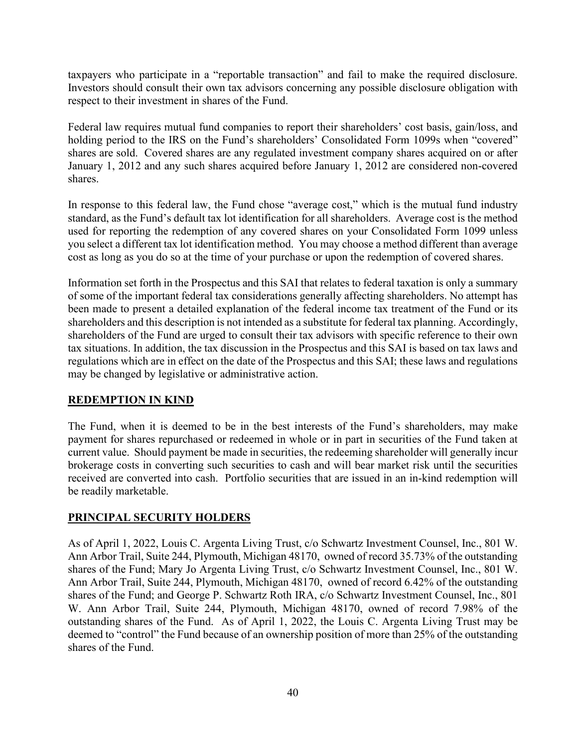taxpayers who participate in a "reportable transaction" and fail to make the required disclosure. Investors should consult their own tax advisors concerning any possible disclosure obligation with respect to their investment in shares of the Fund.

Federal law requires mutual fund companies to report their shareholders' cost basis, gain/loss, and holding period to the IRS on the Fund's shareholders' Consolidated Form 1099s when "covered" shares are sold. Covered shares are any regulated investment company shares acquired on or after January 1, 2012 and any such shares acquired before January 1, 2012 are considered non-covered shares.

In response to this federal law, the Fund chose "average cost," which is the mutual fund industry standard, as the Fund's default tax lot identification for all shareholders. Average cost is the method used for reporting the redemption of any covered shares on your Consolidated Form 1099 unless you select a different tax lot identification method. You may choose a method different than average cost as long as you do so at the time of your purchase or upon the redemption of covered shares.

Information set forth in the Prospectus and this SAI that relates to federal taxation is only a summary of some of the important federal tax considerations generally affecting shareholders. No attempt has been made to present a detailed explanation of the federal income tax treatment of the Fund or its shareholders and this description is not intended as a substitute for federal tax planning. Accordingly, shareholders of the Fund are urged to consult their tax advisors with specific reference to their own tax situations. In addition, the tax discussion in the Prospectus and this SAI is based on tax laws and regulations which are in effect on the date of the Prospectus and this SAI; these laws and regulations may be changed by legislative or administrative action.

## <span id="page-39-0"></span>**REDEMPTION IN KIND**

The Fund, when it is deemed to be in the best interests of the Fund's shareholders, may make payment for shares repurchased or redeemed in whole or in part in securities of the Fund taken at current value. Should payment be made in securities, the redeeming shareholder will generally incur brokerage costs in converting such securities to cash and will bear market risk until the securities received are converted into cash. Portfolio securities that are issued in an in-kind redemption will be readily marketable.

## <span id="page-39-1"></span>**PRINCIPAL SECURITY HOLDERS**

As of April 1, 2022, Louis C. Argenta Living Trust, c/o Schwartz Investment Counsel, Inc., 801 W. Ann Arbor Trail, Suite 244, Plymouth, Michigan 48170, owned of record 35.73% of the outstanding shares of the Fund; Mary Jo Argenta Living Trust, c/o Schwartz Investment Counsel, Inc., 801 W. Ann Arbor Trail, Suite 244, Plymouth, Michigan 48170, owned of record 6.42% of the outstanding shares of the Fund; and George P. Schwartz Roth IRA, c/o Schwartz Investment Counsel, Inc., 801 W. Ann Arbor Trail, Suite 244, Plymouth, Michigan 48170, owned of record 7.98% of the outstanding shares of the Fund. As of April 1, 2022, the Louis C. Argenta Living Trust may be deemed to "control" the Fund because of an ownership position of more than 25% of the outstanding shares of the Fund.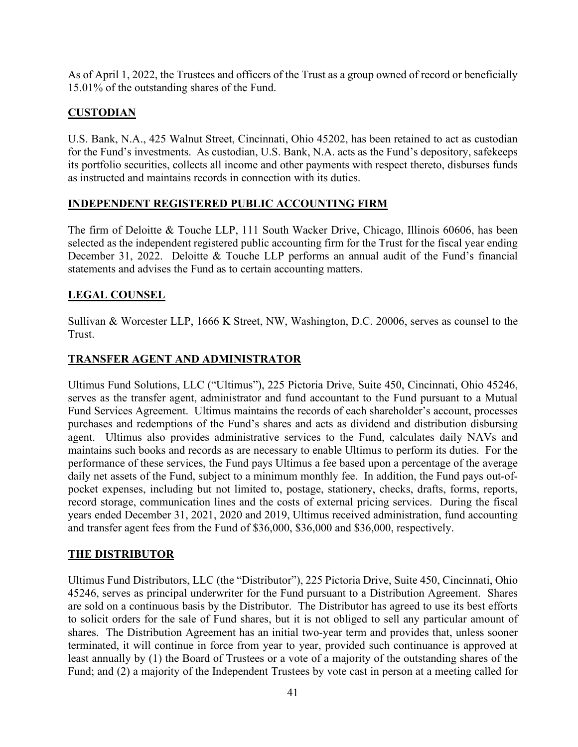As of April 1, 2022, the Trustees and officers of the Trust as a group owned of record or beneficially 15.01% of the outstanding shares of the Fund.

## <span id="page-40-0"></span>**CUSTODIAN**

U.S. Bank, N.A., 425 Walnut Street, Cincinnati, Ohio 45202, has been retained to act as custodian for the Fund's investments. As custodian, U.S. Bank, N.A. acts as the Fund's depository, safekeeps its portfolio securities, collects all income and other payments with respect thereto, disburses funds as instructed and maintains records in connection with its duties.

### <span id="page-40-1"></span>**INDEPENDENT REGISTERED PUBLIC ACCOUNTING FIRM**

The firm of Deloitte & Touche LLP, 111 South Wacker Drive, Chicago, Illinois 60606, has been selected as the independent registered public accounting firm for the Trust for the fiscal year ending December 31, 2022. Deloitte & Touche LLP performs an annual audit of the Fund's financial statements and advises the Fund as to certain accounting matters.

## <span id="page-40-2"></span>**LEGAL COUNSEL**

Sullivan & Worcester LLP, 1666 K Street, NW, Washington, D.C. 20006, serves as counsel to the Trust.

## <span id="page-40-3"></span>**TRANSFER AGENT AND ADMINISTRATOR**

Ultimus Fund Solutions, LLC ("Ultimus"), 225 Pictoria Drive, Suite 450, Cincinnati, Ohio 45246, serves as the transfer agent, administrator and fund accountant to the Fund pursuant to a Mutual Fund Services Agreement. Ultimus maintains the records of each shareholder's account, processes purchases and redemptions of the Fund's shares and acts as dividend and distribution disbursing agent. Ultimus also provides administrative services to the Fund, calculates daily NAVs and maintains such books and records as are necessary to enable Ultimus to perform its duties. For the performance of these services, the Fund pays Ultimus a fee based upon a percentage of the average daily net assets of the Fund, subject to a minimum monthly fee. In addition, the Fund pays out-ofpocket expenses, including but not limited to, postage, stationery, checks, drafts, forms, reports, record storage, communication lines and the costs of external pricing services. During the fiscal years ended December 31, 2021, 2020 and 2019, Ultimus received administration, fund accounting and transfer agent fees from the Fund of \$36,000, \$36,000 and \$36,000, respectively.

## <span id="page-40-4"></span>**THE DISTRIBUTOR**

Ultimus Fund Distributors, LLC (the "Distributor"), 225 Pictoria Drive, Suite 450, Cincinnati, Ohio 45246, serves as principal underwriter for the Fund pursuant to a Distribution Agreement. Shares are sold on a continuous basis by the Distributor. The Distributor has agreed to use its best efforts to solicit orders for the sale of Fund shares, but it is not obliged to sell any particular amount of shares. The Distribution Agreement has an initial two-year term and provides that, unless sooner terminated, it will continue in force from year to year, provided such continuance is approved at least annually by (1) the Board of Trustees or a vote of a majority of the outstanding shares of the Fund; and (2) a majority of the Independent Trustees by vote cast in person at a meeting called for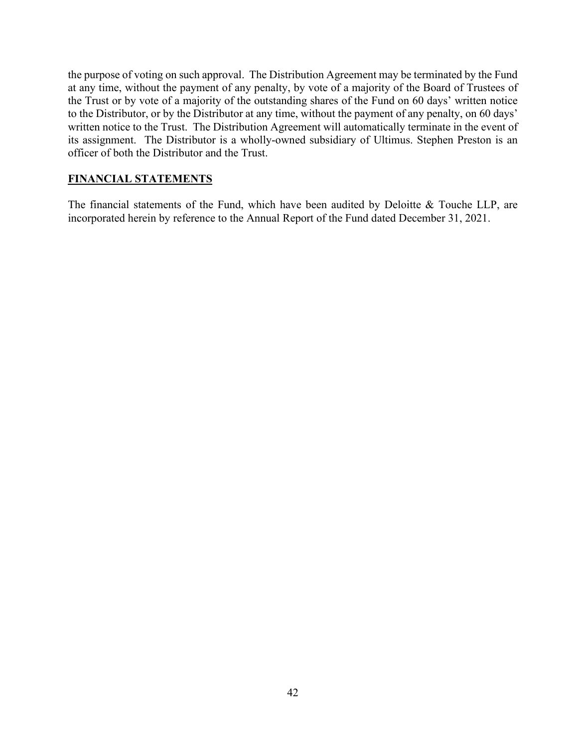the purpose of voting on such approval. The Distribution Agreement may be terminated by the Fund at any time, without the payment of any penalty, by vote of a majority of the Board of Trustees of the Trust or by vote of a majority of the outstanding shares of the Fund on 60 days' written notice to the Distributor, or by the Distributor at any time, without the payment of any penalty, on 60 days' written notice to the Trust. The Distribution Agreement will automatically terminate in the event of its assignment. The Distributor is a wholly-owned subsidiary of Ultimus. Stephen Preston is an officer of both the Distributor and the Trust.

### <span id="page-41-0"></span>**FINANCIAL STATEMENTS**

The financial statements of the Fund, which have been audited by Deloitte & Touche LLP, are incorporated herein by reference to the Annual Report of the Fund dated December 31, 2021.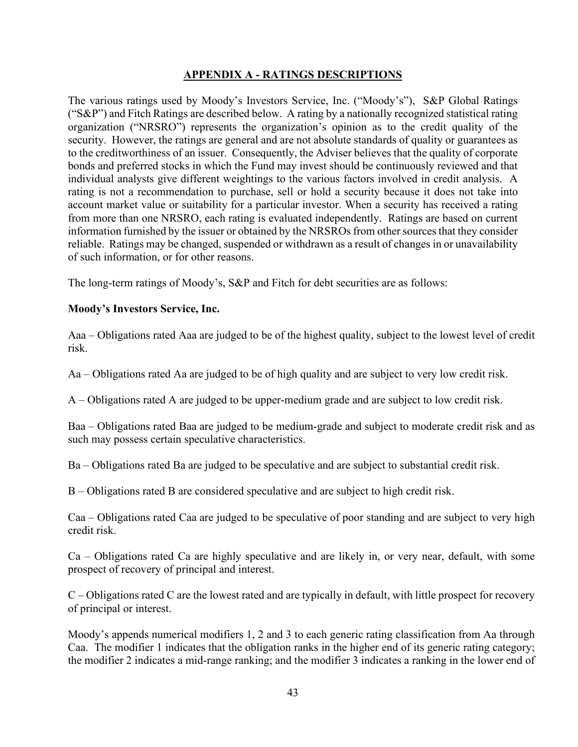### **APPENDIX A - RATINGS DESCRIPTIONS**

<span id="page-42-0"></span>The various ratings used by Moody's Investors Service, Inc. ("Moody's"), S&P Global Ratings ("S&P") and Fitch Ratings are described below. A rating by a nationally recognized statistical rating organization ("NRSRO") represents the organization's opinion as to the credit quality of the security. However, the ratings are general and are not absolute standards of quality or guarantees as to the creditworthiness of an issuer. Consequently, the Adviser believes that the quality of corporate bonds and preferred stocks in which the Fund may invest should be continuously reviewed and that individual analysts give different weightings to the various factors involved in credit analysis. A rating is not a recommendation to purchase, sell or hold a security because it does not take into account market value or suitability for a particular investor. When a security has received a rating from more than one NRSRO, each rating is evaluated independently. Ratings are based on current information furnished by the issuer or obtained by the NRSROs from other sources that they consider reliable. Ratings may be changed, suspended or withdrawn as a result of changes in or unavailability of such information, or for other reasons.

The long-term ratings of Moody's, S&P and Fitch for debt securities are as follows:

### **Moody's Investors Service, Inc.**

Aaa – Obligations rated Aaa are judged to be of the highest quality, subject to the lowest level of credit risk.

Aa – Obligations rated Aa are judged to be of high quality and are subject to very low credit risk.

A – Obligations rated A are judged to be upper-medium grade and are subject to low credit risk.

Baa – Obligations rated Baa are judged to be medium-grade and subject to moderate credit risk and as such may possess certain speculative characteristics.

Ba – Obligations rated Ba are judged to be speculative and are subject to substantial credit risk.

B – Obligations rated B are considered speculative and are subject to high credit risk.

Caa – Obligations rated Caa are judged to be speculative of poor standing and are subject to very high credit risk.

Ca – Obligations rated Ca are highly speculative and are likely in, or very near, default, with some prospect of recovery of principal and interest.

C – Obligations rated C are the lowest rated and are typically in default, with little prospect for recovery of principal or interest.

Moody's appends numerical modifiers 1, 2 and 3 to each generic rating classification from Aa through Caa. The modifier 1 indicates that the obligation ranks in the higher end of its generic rating category; the modifier 2 indicates a mid-range ranking; and the modifier 3 indicates a ranking in the lower end of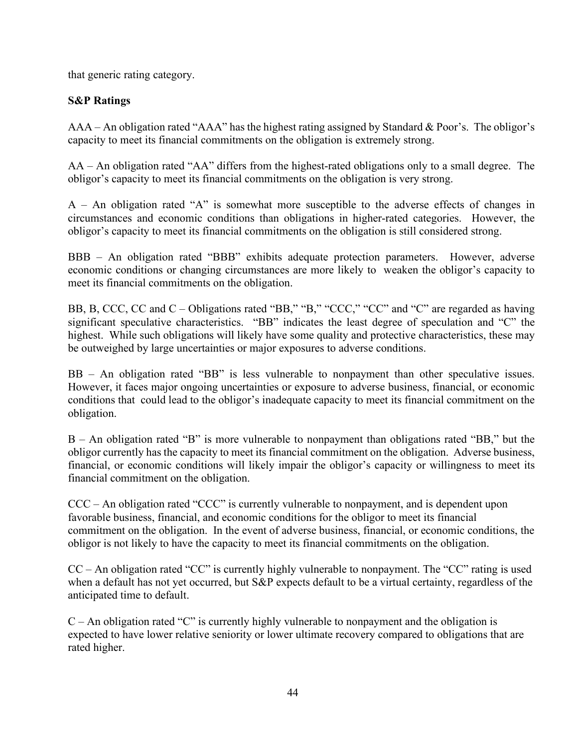that generic rating category.

# **S&P Ratings**

AAA – An obligation rated "AAA" has the highest rating assigned by Standard & Poor's. The obligor's capacity to meet its financial commitments on the obligation is extremely strong.

AA – An obligation rated "AA" differs from the highest-rated obligations only to a small degree. The obligor's capacity to meet its financial commitments on the obligation is very strong.

A – An obligation rated "A" is somewhat more susceptible to the adverse effects of changes in circumstances and economic conditions than obligations in higher-rated categories. However, the obligor's capacity to meet its financial commitments on the obligation is still considered strong.

BBB – An obligation rated "BBB" exhibits adequate protection parameters. However, adverse economic conditions or changing circumstances are more likely to weaken the obligor's capacity to meet its financial commitments on the obligation.

BB, B, CCC, CC and C – Obligations rated "BB," "B," "CCC," "CC" and "C" are regarded as having significant speculative characteristics. "BB" indicates the least degree of speculation and "C" the highest. While such obligations will likely have some quality and protective characteristics, these may be outweighed by large uncertainties or major exposures to adverse conditions.

BB – An obligation rated "BB" is less vulnerable to nonpayment than other speculative issues. However, it faces major ongoing uncertainties or exposure to adverse business, financial, or economic conditions that could lead to the obligor's inadequate capacity to meet its financial commitment on the obligation.

B – An obligation rated "B" is more vulnerable to nonpayment than obligations rated "BB," but the obligor currently has the capacity to meet its financial commitment on the obligation. Adverse business, financial, or economic conditions will likely impair the obligor's capacity or willingness to meet its financial commitment on the obligation.

CCC – An obligation rated "CCC" is currently vulnerable to nonpayment, and is dependent upon favorable business, financial, and economic conditions for the obligor to meet its financial commitment on the obligation. In the event of adverse business, financial, or economic conditions, the obligor is not likely to have the capacity to meet its financial commitments on the obligation.

CC – An obligation rated "CC" is currently highly vulnerable to nonpayment. The "CC" rating is used when a default has not yet occurred, but S&P expects default to be a virtual certainty, regardless of the anticipated time to default.

 $C$  – An obligation rated "C" is currently highly vulnerable to nonpayment and the obligation is expected to have lower relative seniority or lower ultimate recovery compared to obligations that are rated higher.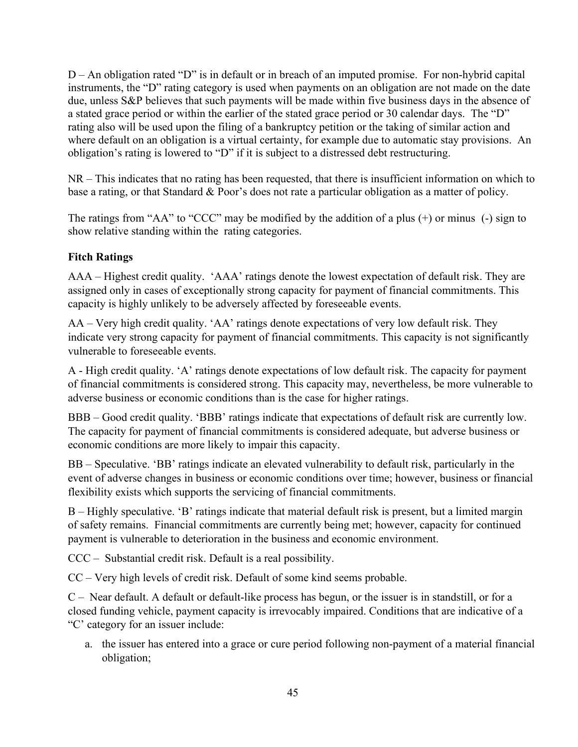D – An obligation rated "D" is in default or in breach of an imputed promise. For non-hybrid capital instruments, the "D" rating category is used when payments on an obligation are not made on the date due, unless S&P believes that such payments will be made within five business days in the absence of a stated grace period or within the earlier of the stated grace period or 30 calendar days. The "D" rating also will be used upon the filing of a bankruptcy petition or the taking of similar action and where default on an obligation is a virtual certainty, for example due to automatic stay provisions. An obligation's rating is lowered to "D" if it is subject to a distressed debt restructuring.

NR – This indicates that no rating has been requested, that there is insufficient information on which to base a rating, or that Standard & Poor's does not rate a particular obligation as a matter of policy.

The ratings from "AA" to "CCC" may be modified by the addition of a plus (+) or minus (-) sign to show relative standing within the rating categories.

# **Fitch Ratings**

AAA – Highest credit quality. 'AAA' ratings denote the lowest expectation of default risk. They are assigned only in cases of exceptionally strong capacity for payment of financial commitments. This capacity is highly unlikely to be adversely affected by foreseeable events.

AA – Very high credit quality. 'AA' ratings denote expectations of very low default risk. They indicate very strong capacity for payment of financial commitments. This capacity is not significantly vulnerable to foreseeable events.

A - High credit quality. 'A' ratings denote expectations of low default risk. The capacity for payment of financial commitments is considered strong. This capacity may, nevertheless, be more vulnerable to adverse business or economic conditions than is the case for higher ratings.

BBB – Good credit quality. 'BBB' ratings indicate that expectations of default risk are currently low. The capacity for payment of financial commitments is considered adequate, but adverse business or economic conditions are more likely to impair this capacity.

BB – Speculative. 'BB' ratings indicate an elevated vulnerability to default risk, particularly in the event of adverse changes in business or economic conditions over time; however, business or financial flexibility exists which supports the servicing of financial commitments.

B – Highly speculative. 'B' ratings indicate that material default risk is present, but a limited margin of safety remains. Financial commitments are currently being met; however, capacity for continued payment is vulnerable to deterioration in the business and economic environment.

CCC – Substantial credit risk. Default is a real possibility.

CC – Very high levels of credit risk. Default of some kind seems probable.

C – Near default. A default or default-like process has begun, or the issuer is in standstill, or for a closed funding vehicle, payment capacity is irrevocably impaired. Conditions that are indicative of a "C' category for an issuer include:

a. the issuer has entered into a grace or cure period following non-payment of a material financial obligation;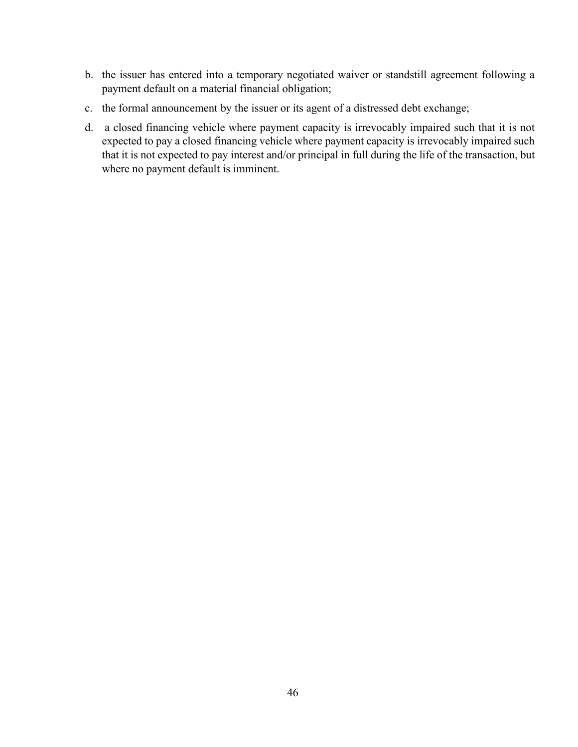- b. the issuer has entered into a temporary negotiated waiver or standstill agreement following a payment default on a material financial obligation;
- c. the formal announcement by the issuer or its agent of a distressed debt exchange;
- d. a closed financing vehicle where payment capacity is irrevocably impaired such that it is not expected to pay a closed financing vehicle where payment capacity is irrevocably impaired such that it is not expected to pay interest and/or principal in full during the life of the transaction, but where no payment default is imminent.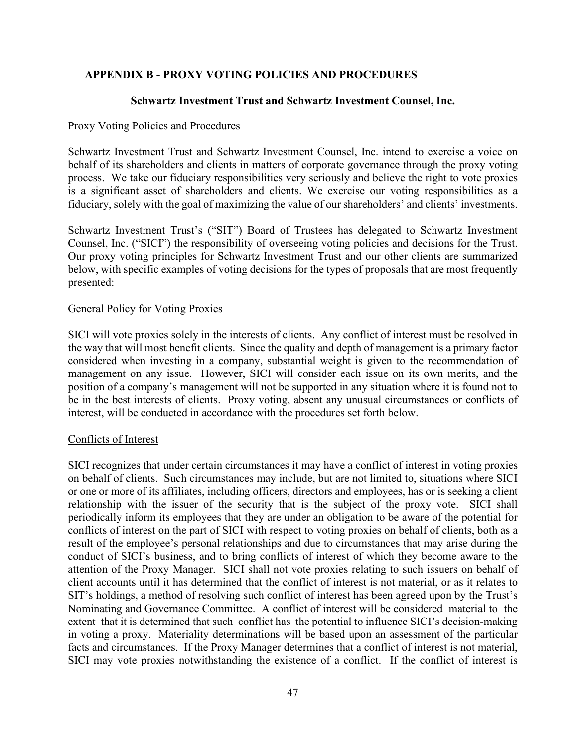### <span id="page-46-0"></span>**APPENDIX B - PROXY VOTING POLICIES AND PROCEDURES**

#### **Schwartz Investment Trust and Schwartz Investment Counsel, Inc.**

#### Proxy Voting Policies and Procedures

Schwartz Investment Trust and Schwartz Investment Counsel, Inc. intend to exercise a voice on behalf of its shareholders and clients in matters of corporate governance through the proxy voting process. We take our fiduciary responsibilities very seriously and believe the right to vote proxies is a significant asset of shareholders and clients. We exercise our voting responsibilities as a fiduciary, solely with the goal of maximizing the value of our shareholders' and clients' investments.

Schwartz Investment Trust's ("SIT") Board of Trustees has delegated to Schwartz Investment Counsel, Inc. ("SICI") the responsibility of overseeing voting policies and decisions for the Trust. Our proxy voting principles for Schwartz Investment Trust and our other clients are summarized below, with specific examples of voting decisions for the types of proposals that are most frequently presented:

#### General Policy for Voting Proxies

SICI will vote proxies solely in the interests of clients. Any conflict of interest must be resolved in the way that will most benefit clients. Since the quality and depth of management is a primary factor considered when investing in a company, substantial weight is given to the recommendation of management on any issue. However, SICI will consider each issue on its own merits, and the position of a company's management will not be supported in any situation where it is found not to be in the best interests of clients. Proxy voting, absent any unusual circumstances or conflicts of interest, will be conducted in accordance with the procedures set forth below.

#### Conflicts of Interest

SICI recognizes that under certain circumstances it may have a conflict of interest in voting proxies on behalf of clients. Such circumstances may include, but are not limited to, situations where SICI or one or more of its affiliates, including officers, directors and employees, has or is seeking a client relationship with the issuer of the security that is the subject of the proxy vote. SICI shall periodically inform its employees that they are under an obligation to be aware of the potential for conflicts of interest on the part of SICI with respect to voting proxies on behalf of clients, both as a result of the employee's personal relationships and due to circumstances that may arise during the conduct of SICI's business, and to bring conflicts of interest of which they become aware to the attention of the Proxy Manager. SICI shall not vote proxies relating to such issuers on behalf of client accounts until it has determined that the conflict of interest is not material, or as it relates to SIT's holdings, a method of resolving such conflict of interest has been agreed upon by the Trust's Nominating and Governance Committee. A conflict of interest will be considered material to the extent that it is determined that such conflict has the potential to influence SICI's decision-making in voting a proxy. Materiality determinations will be based upon an assessment of the particular facts and circumstances. If the Proxy Manager determines that a conflict of interest is not material, SICI may vote proxies notwithstanding the existence of a conflict. If the conflict of interest is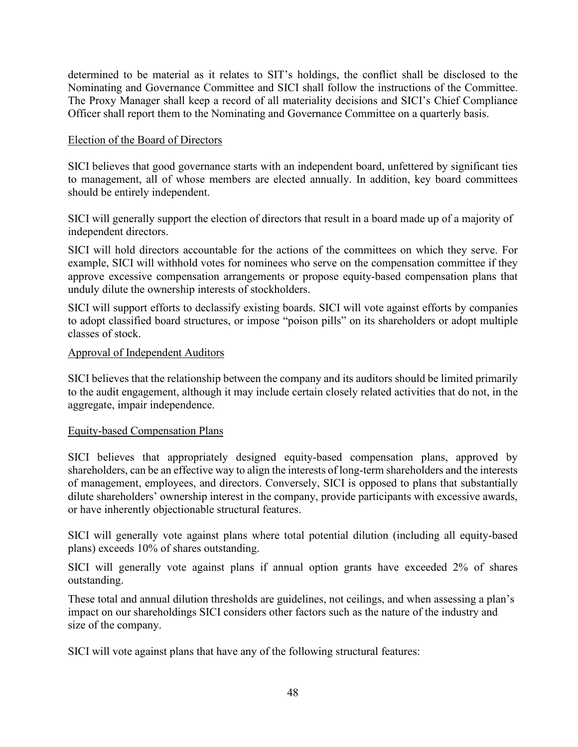determined to be material as it relates to SIT's holdings, the conflict shall be disclosed to the Nominating and Governance Committee and SICI shall follow the instructions of the Committee. The Proxy Manager shall keep a record of all materiality decisions and SICI's Chief Compliance Officer shall report them to the Nominating and Governance Committee on a quarterly basis.

### Election of the Board of Directors

SICI believes that good governance starts with an independent board, unfettered by significant ties to management, all of whose members are elected annually. In addition, key board committees should be entirely independent.

SICI will generally support the election of directors that result in a board made up of a majority of independent directors.

SICI will hold directors accountable for the actions of the committees on which they serve. For example, SICI will withhold votes for nominees who serve on the compensation committee if they approve excessive compensation arrangements or propose equity-based compensation plans that unduly dilute the ownership interests of stockholders.

SICI will support efforts to declassify existing boards. SICI will vote against efforts by companies to adopt classified board structures, or impose "poison pills" on its shareholders or adopt multiple classes of stock.

### Approval of Independent Auditors

SICI believes that the relationship between the company and its auditors should be limited primarily to the audit engagement, although it may include certain closely related activities that do not, in the aggregate, impair independence.

### Equity-based Compensation Plans

SICI believes that appropriately designed equity-based compensation plans, approved by shareholders, can be an effective way to align the interests of long-term shareholders and the interests of management, employees, and directors. Conversely, SICI is opposed to plans that substantially dilute shareholders' ownership interest in the company, provide participants with excessive awards, or have inherently objectionable structural features.

SICI will generally vote against plans where total potential dilution (including all equity-based plans) exceeds 10% of shares outstanding.

SICI will generally vote against plans if annual option grants have exceeded 2% of shares outstanding.

These total and annual dilution thresholds are guidelines, not ceilings, and when assessing a plan's impact on our shareholdings SICI considers other factors such as the nature of the industry and size of the company.

SICI will vote against plans that have any of the following structural features: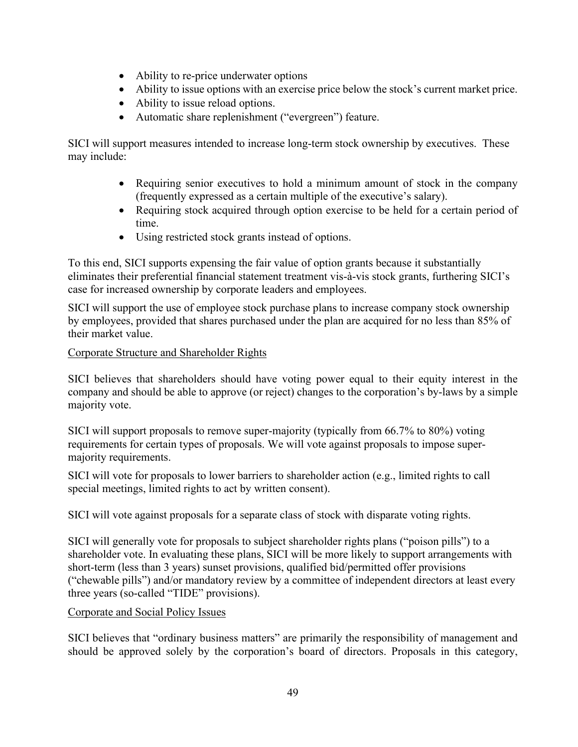- Ability to re-price underwater options
- Ability to issue options with an exercise price below the stock's current market price.
- Ability to issue reload options.
- Automatic share replenishment ("evergreen") feature.

SICI will support measures intended to increase long-term stock ownership by executives. These may include:

- Requiring senior executives to hold a minimum amount of stock in the company (frequently expressed as a certain multiple of the executive's salary).
- Requiring stock acquired through option exercise to be held for a certain period of time.
- Using restricted stock grants instead of options.

To this end, SICI supports expensing the fair value of option grants because it substantially eliminates their preferential financial statement treatment vis-à-vis stock grants, furthering SICI's case for increased ownership by corporate leaders and employees.

SICI will support the use of employee stock purchase plans to increase company stock ownership by employees, provided that shares purchased under the plan are acquired for no less than 85% of their market value.

## Corporate Structure and Shareholder Rights

SICI believes that shareholders should have voting power equal to their equity interest in the company and should be able to approve (or reject) changes to the corporation's by-laws by a simple majority vote.

SICI will support proposals to remove super-majority (typically from 66.7% to 80%) voting requirements for certain types of proposals. We will vote against proposals to impose supermajority requirements.

SICI will vote for proposals to lower barriers to shareholder action (e.g., limited rights to call special meetings, limited rights to act by written consent).

SICI will vote against proposals for a separate class of stock with disparate voting rights.

SICI will generally vote for proposals to subject shareholder rights plans ("poison pills") to a shareholder vote. In evaluating these plans, SICI will be more likely to support arrangements with short-term (less than 3 years) sunset provisions, qualified bid/permitted offer provisions ("chewable pills") and/or mandatory review by a committee of independent directors at least every three years (so-called "TIDE" provisions).

## Corporate and Social Policy Issues

SICI believes that "ordinary business matters" are primarily the responsibility of management and should be approved solely by the corporation's board of directors. Proposals in this category,